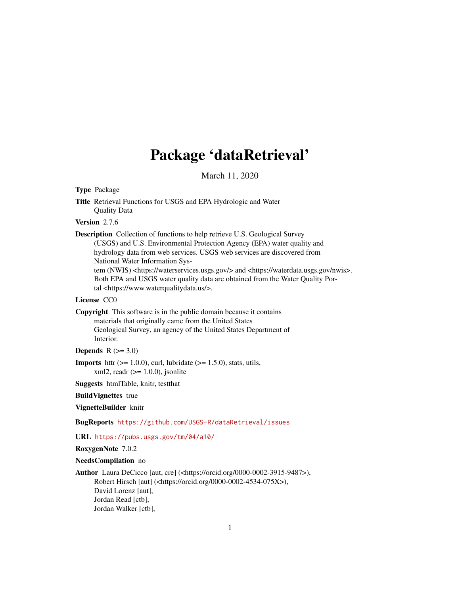# Package 'dataRetrieval'

March 11, 2020

### <span id="page-0-0"></span>Type Package

Title Retrieval Functions for USGS and EPA Hydrologic and Water Quality Data

### Version 2.7.6

Description Collection of functions to help retrieve U.S. Geological Survey (USGS) and U.S. Environmental Protection Agency (EPA) water quality and hydrology data from web services. USGS web services are discovered from National Water Information Sys-

tem (NWIS) <https://waterservices.usgs.gov/> and <https://waterdata.usgs.gov/nwis>. Both EPA and USGS water quality data are obtained from the Water Quality Portal <https://www.waterqualitydata.us/>.

#### License CC0

Copyright This software is in the public domain because it contains materials that originally came from the United States

Geological Survey, an agency of the United States Department of Interior.

Depends  $R$  ( $>= 3.0$ )

**Imports** httr  $(>= 1.0.0)$ , curl, lubridate  $(>= 1.5.0)$ , stats, utils,  $xml2$ , readr ( $>= 1.0.0$ ), jsonlite

Suggests htmlTable, knitr, testthat

BuildVignettes true

VignetteBuilder knitr

BugReports <https://github.com/USGS-R/dataRetrieval/issues>

URL <https://pubs.usgs.gov/tm/04/a10/>

RoxygenNote 7.0.2

#### NeedsCompilation no

Author Laura DeCicco [aut, cre] (<https://orcid.org/0000-0002-3915-9487>), Robert Hirsch [aut] (<https://orcid.org/0000-0002-4534-075X>), David Lorenz [aut], Jordan Read [ctb], Jordan Walker [ctb],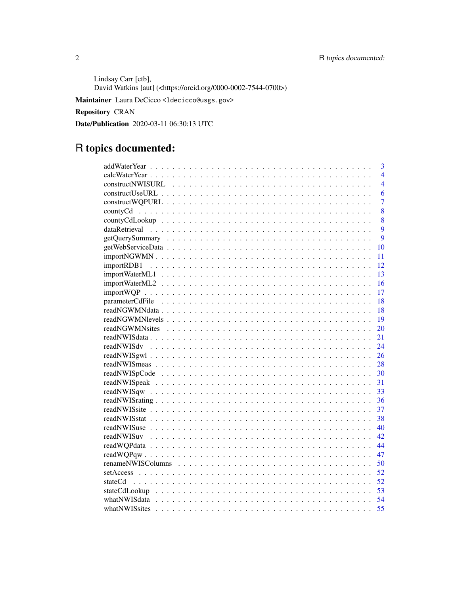Lindsay Carr [ctb], David Watkins [aut] (<https://orcid.org/0000-0002-7544-0700>)

Maintainer Laura DeCicco <ldecicco@usgs.gov>

Repository CRAN

Date/Publication 2020-03-11 06:30:13 UTC

# R topics documented:

|                    | 3              |
|--------------------|----------------|
|                    | $\overline{4}$ |
|                    | $\overline{4}$ |
|                    | 6              |
|                    | $\overline{7}$ |
|                    | 8              |
|                    | 8              |
|                    | 9              |
|                    | $\mathbf Q$    |
| 10                 |                |
| 11                 |                |
| 12                 |                |
| 13                 |                |
| 16                 |                |
| 17                 |                |
| 18                 |                |
| 18                 |                |
| 19                 |                |
| 20                 |                |
| 21                 |                |
| 24                 |                |
| 26                 |                |
|                    |                |
| 30                 |                |
| 31                 |                |
| 33                 |                |
| 36                 |                |
| 37                 |                |
| 38                 |                |
| 40                 |                |
| 42                 |                |
| 44                 |                |
| 47                 |                |
| 50                 |                |
| 52                 |                |
| 52                 |                |
| 53                 |                |
| whatNWISdata<br>54 |                |
| 55                 |                |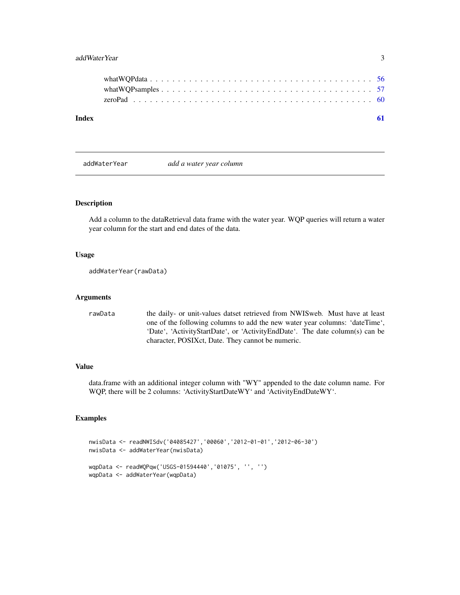### <span id="page-2-0"></span>addWaterYear 3

| Index |  |
|-------|--|
|       |  |
|       |  |
|       |  |
|       |  |

addWaterYear *add a water year column*

### Description

Add a column to the dataRetrieval data frame with the water year. WQP queries will return a water year column for the start and end dates of the data.

#### Usage

```
addWaterYear(rawData)
```
#### Arguments

rawData the daily- or unit-values datset retrieved from NWISweb. Must have at least one of the following columns to add the new water year columns: 'dateTime', 'Date', 'ActivityStartDate', or 'ActivityEndDate'. The date column(s) can be character, POSIXct, Date. They cannot be numeric.

#### Value

data.frame with an additional integer column with "WY" appended to the date column name. For WQP, there will be 2 columns: 'ActivityStartDateWY' and 'ActivityEndDateWY'.

```
nwisData <- readNWISdv('04085427','00060','2012-01-01','2012-06-30')
nwisData <- addWaterYear(nwisData)
wqpData <- readWQPqw('USGS-01594440','01075', '', '')
wqpData <- addWaterYear(wqpData)
```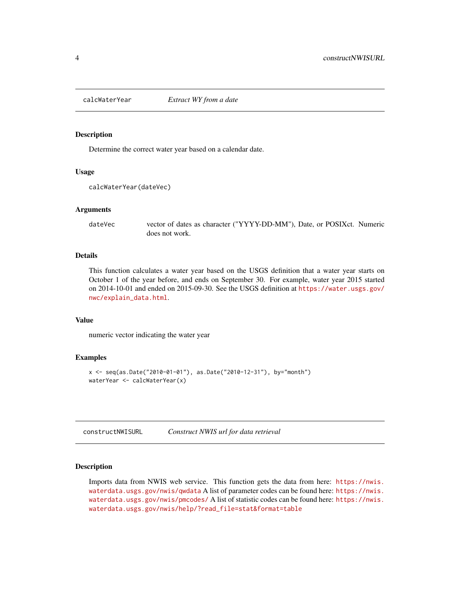<span id="page-3-0"></span>

#### Description

Determine the correct water year based on a calendar date.

#### Usage

```
calcWaterYear(dateVec)
```
#### Arguments

dateVec vector of dates as character ("YYYY-DD-MM"), Date, or POSIXct. Numeric does not work.

### Details

This function calculates a water year based on the USGS definition that a water year starts on October 1 of the year before, and ends on September 30. For example, water year 2015 started on 2014-10-01 and ended on 2015-09-30. See the USGS definition at [https://water.usgs.gov/](https://water.usgs.gov/nwc/explain_data.html) [nwc/explain\\_data.html](https://water.usgs.gov/nwc/explain_data.html).

#### Value

numeric vector indicating the water year

#### Examples

```
x <- seq(as.Date("2010-01-01"), as.Date("2010-12-31"), by="month")
waterYear <- calcWaterYear(x)
```
<span id="page-3-1"></span>constructNWISURL *Construct NWIS url for data retrieval*

### Description

Imports data from NWIS web service. This function gets the data from here: [https://nwis.](https://nwis.waterdata.usgs.gov/nwis/qwdata) [waterdata.usgs.gov/nwis/qwdata](https://nwis.waterdata.usgs.gov/nwis/qwdata) A list of parameter codes can be found here: [https://nwis.](https://nwis.waterdata.usgs.gov/nwis/pmcodes/) [waterdata.usgs.gov/nwis/pmcodes/](https://nwis.waterdata.usgs.gov/nwis/pmcodes/) A list of statistic codes can be found here: [https://nwis.](https://nwis.waterdata.usgs.gov/nwis/help/?read_file=stat&format=table) [waterdata.usgs.gov/nwis/help/?read\\_file=stat&format=table](https://nwis.waterdata.usgs.gov/nwis/help/?read_file=stat&format=table)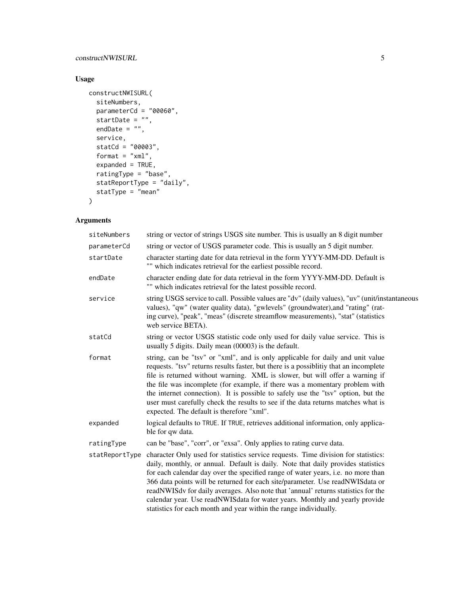### constructNWISURL 5

## Usage

```
constructNWISURL(
  siteNumbers,
  parameterCd = "00060",
  startDate = "",
  endDate = ",
  service,
  statCd = "00003",format = "xml",expanded = TRUE,ratingType = "base",
  statReportType = "daily",
  statType = "mean"
\mathcal{L}
```
### Arguments

| siteNumbers                                                                                                                                                                                                                                                                                                                                                                                                                                                                                                                                                                                            | string or vector of strings USGS site number. This is usually an 8 digit number                                                                                                                                                                                                                                                                                                                                                                                                                                                                             |  |
|--------------------------------------------------------------------------------------------------------------------------------------------------------------------------------------------------------------------------------------------------------------------------------------------------------------------------------------------------------------------------------------------------------------------------------------------------------------------------------------------------------------------------------------------------------------------------------------------------------|-------------------------------------------------------------------------------------------------------------------------------------------------------------------------------------------------------------------------------------------------------------------------------------------------------------------------------------------------------------------------------------------------------------------------------------------------------------------------------------------------------------------------------------------------------------|--|
| parameterCd                                                                                                                                                                                                                                                                                                                                                                                                                                                                                                                                                                                            | string or vector of USGS parameter code. This is usually an 5 digit number.                                                                                                                                                                                                                                                                                                                                                                                                                                                                                 |  |
| startDate                                                                                                                                                                                                                                                                                                                                                                                                                                                                                                                                                                                              | character starting date for data retrieval in the form YYYY-MM-DD. Default is<br>"" which indicates retrieval for the earliest possible record.                                                                                                                                                                                                                                                                                                                                                                                                             |  |
| endDate                                                                                                                                                                                                                                                                                                                                                                                                                                                                                                                                                                                                | character ending date for data retrieval in the form YYYY-MM-DD. Default is<br>"" which indicates retrieval for the latest possible record.                                                                                                                                                                                                                                                                                                                                                                                                                 |  |
| service                                                                                                                                                                                                                                                                                                                                                                                                                                                                                                                                                                                                | string USGS service to call. Possible values are "dv" (daily values), "uv" (unit/instantaneous<br>values), "qw" (water quality data), "gwlevels" (groundwater), and "rating" (rat-<br>ing curve), "peak", "meas" (discrete streamflow measurements), "stat" (statistics<br>web service BETA).                                                                                                                                                                                                                                                               |  |
| statCd                                                                                                                                                                                                                                                                                                                                                                                                                                                                                                                                                                                                 | string or vector USGS statistic code only used for daily value service. This is<br>usually 5 digits. Daily mean (00003) is the default.                                                                                                                                                                                                                                                                                                                                                                                                                     |  |
| format                                                                                                                                                                                                                                                                                                                                                                                                                                                                                                                                                                                                 | string, can be "tsv" or "xml", and is only applicable for daily and unit value<br>requests. "tsv" returns results faster, but there is a possiblitiy that an incomplete<br>file is returned without warning. XML is slower, but will offer a warning if<br>the file was incomplete (for example, if there was a momentary problem with<br>the internet connection). It is possible to safely use the "tsv" option, but the<br>user must carefully check the results to see if the data returns matches what is<br>expected. The default is therefore "xml". |  |
| expanded                                                                                                                                                                                                                                                                                                                                                                                                                                                                                                                                                                                               | logical defaults to TRUE. If TRUE, retrieves additional information, only applica-<br>ble for qw data.                                                                                                                                                                                                                                                                                                                                                                                                                                                      |  |
| ratingType                                                                                                                                                                                                                                                                                                                                                                                                                                                                                                                                                                                             | can be "base", "corr", or "exsa". Only applies to rating curve data.                                                                                                                                                                                                                                                                                                                                                                                                                                                                                        |  |
| character Only used for statistics service requests. Time division for statistics:<br>statReportType<br>daily, monthly, or annual. Default is daily. Note that daily provides statistics<br>for each calendar day over the specified range of water years, i.e. no more than<br>366 data points will be returned for each site/parameter. Use readNWISdata or<br>readNWISdv for daily averages. Also note that 'annual' returns statistics for the<br>calendar year. Use readNWISdata for water years. Monthly and yearly provide<br>statistics for each month and year within the range individually. |                                                                                                                                                                                                                                                                                                                                                                                                                                                                                                                                                             |  |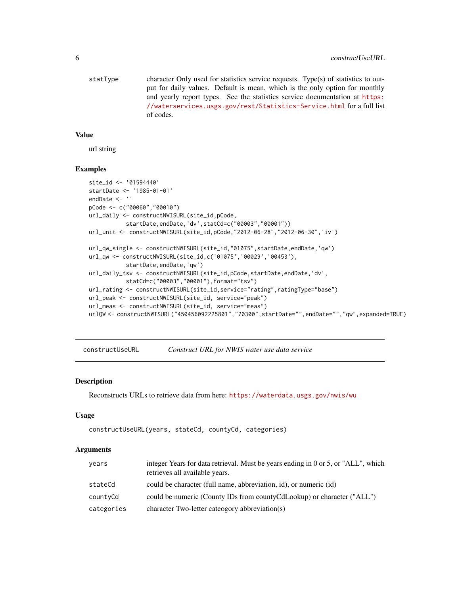<span id="page-5-0"></span>statType character Only used for statistics service requests. Type(s) of statistics to output for daily values. Default is mean, which is the only option for monthly and yearly report types. See the statistics service documentation at [https:](https://waterservices.usgs.gov/rest/Statistics-Service.html) [//waterservices.usgs.gov/rest/Statistics-Service.html](https://waterservices.usgs.gov/rest/Statistics-Service.html) for a full list of codes.

#### Value

url string

#### Examples

```
site_id <- '01594440'
startDate <- '1985-01-01'
endDate <- ''
pCode <- c("00060","00010")
url_daily <- constructNWISURL(site_id,pCode,
           startDate,endDate,'dv',statCd=c("00003","00001"))
url_unit <- constructNWISURL(site_id,pCode,"2012-06-28","2012-06-30",'iv')
url_qw_single <- constructNWISURL(site_id,"01075",startDate,endDate,'qw')
url_qw <- constructNWISURL(site_id,c('01075','00029','00453'),
           startDate,endDate,'qw')
url_daily_tsv <- constructNWISURL(site_id, pCode, startDate, endDate, 'dv',
           statCd=c("00003","00001"),format="tsv")
url_rating <- constructNWISURL(site_id,service="rating",ratingType="base")
url_peak <- constructNWISURL(site_id, service="peak")
url_meas <- constructNWISURL(site_id, service="meas")
urlQW <- constructNWISURL("450456092225801","70300",startDate="",endDate="","qw",expanded=TRUE)
```
constructUseURL *Construct URL for NWIS water use data service*

#### Description

Reconstructs URLs to retrieve data from here: <https://waterdata.usgs.gov/nwis/wu>

#### Usage

```
constructUseURL(years, stateCd, countyCd, categories)
```
#### Arguments

| years      | integer Years for data retrieval. Must be years ending in 0 or 5, or "ALL", which<br>retrieves all available years. |  |
|------------|---------------------------------------------------------------------------------------------------------------------|--|
| stateCd    | could be character (full name, abbreviation, id), or numeric (id)                                                   |  |
| countyCd   | could be numeric (County IDs from county CdLookup) or character ("ALL")                                             |  |
| categories | character Two-letter cateogory abbreviation(s)                                                                      |  |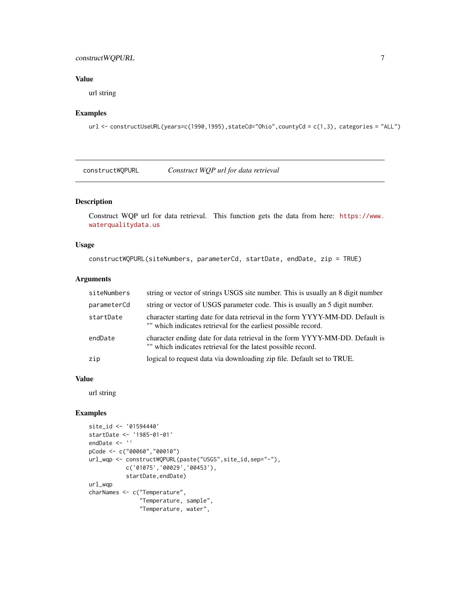### <span id="page-6-0"></span>construct WQPURL 7

### Value

url string

#### Examples

```
url <- constructUseURL(years=c(1990,1995),stateCd="Ohio",countyCd = c(1,3), categories = "ALL")
```
constructWQPURL *Construct WQP url for data retrieval*

### Description

Construct WQP url for data retrieval. This function gets the data from here: [https://www.](https://www.waterqualitydata.us) [waterqualitydata.us](https://www.waterqualitydata.us)

### Usage

```
constructWQPURL(siteNumbers, parameterCd, startDate, endDate, zip = TRUE)
```
### Arguments

| siteNumbers | string or vector of strings USGS site number. This is usually an 8 digit number                                                                 |  |
|-------------|-------------------------------------------------------------------------------------------------------------------------------------------------|--|
| parameterCd | string or vector of USGS parameter code. This is usually an 5 digit number.                                                                     |  |
| startDate   | character starting date for data retrieval in the form YYYY-MM-DD. Default is<br>"" which indicates retrieval for the earliest possible record. |  |
| endDate     | character ending date for data retrieval in the form YYYY-MM-DD. Default is<br>"" which indicates retrieval for the latest possible record.     |  |
| zip         | logical to request data via downloading zip file. Default set to TRUE.                                                                          |  |

#### Value

url string

```
site_id <- '01594440'
startDate <- '1985-01-01'
endDate <- ''
pCode <- c("00060","00010")
url_wqp <- constructWQPURL(paste("USGS",site_id,sep="-"),
           c('01075','00029','00453'),
           startDate,endDate)
url_wqp
charNames <- c("Temperature",
               "Temperature, sample",
               "Temperature, water",
```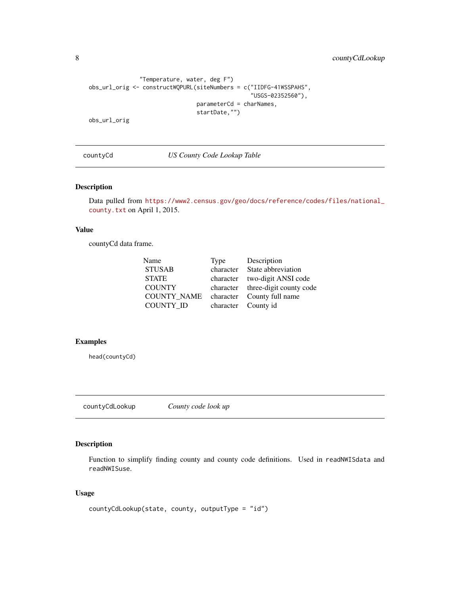<span id="page-7-0"></span>8 countyCdLookup

```
"Temperature, water, deg F")
obs_url_orig <- constructWQPURL(siteNumbers = c("IIDFG-41WSSPAHS",
                                                "USGS-02352560"),
                                parameterCd = charNames,
                                startDate,"")
obs_url_orig
```
countyCd *US County Code Lookup Table*

#### Description

Data pulled from [https://www2.census.gov/geo/docs/reference/codes/files/national\\_](https://www2.census.gov/geo/docs/reference/codes/files/national_county.txt) [county.txt](https://www2.census.gov/geo/docs/reference/codes/files/national_county.txt) on April 1, 2015.

### Value

countyCd data frame.

| Name               | Type      | Description                       |
|--------------------|-----------|-----------------------------------|
| <b>STUSAB</b>      | character | State abbreviation                |
| <b>STATE</b>       | character | two-digit ANSI code               |
| <b>COUNTY</b>      |           | character three-digit county code |
| <b>COUNTY NAME</b> |           | character County full name        |
| COUNTY ID          |           | character County id               |
|                    |           |                                   |

### Examples

head(countyCd)

countyCdLookup *County code look up*

### Description

Function to simplify finding county and county code definitions. Used in readNWISdata and readNWISuse.

### Usage

```
countyCdLookup(state, county, outputType = "id")
```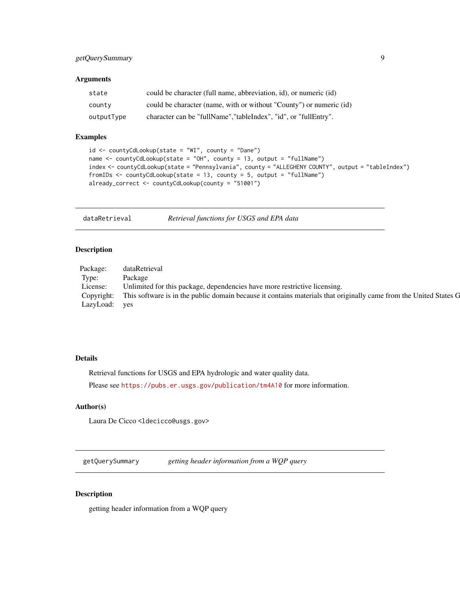### <span id="page-8-0"></span>Arguments

| state      | could be character (full name, abbreviation, id), or numeric (id)   |
|------------|---------------------------------------------------------------------|
| county     | could be character (name, with or without "County") or numeric (id) |
| outputType | character can be "fullName", "tableIndex", "id", or "fullEntry".    |

### Examples

```
id <- countyCdLookup(state = "WI", county = "Dane")
name <- countyCdLookup(state = "OH", county = 13, output = "fullName")
index <- countyCdLookup(state = "Pennsylvania", county = "ALLEGHENY COUNTY", output = "tableIndex")
fromIDs <- countyCdLookup(state = 13, county = 5, output = "fullName")
already_correct <- countyCdLookup(county = "51001")
```
dataRetrieval *Retrieval functions for USGS and EPA data*

#### Description

| Package:      | ataketrieval                                                                                                                 |
|---------------|------------------------------------------------------------------------------------------------------------------------------|
| Type:         | Package                                                                                                                      |
| License:      | Unlimited for this package, dependencies have more restrictive licensing.                                                    |
|               | Copyright: This software is in the public domain because it contains materials that originally came from the United States G |
| LazyLoad: yes |                                                                                                                              |

#### Details

Retrieval functions for USGS and EPA hydrologic and water quality data.

Please see <https://pubs.er.usgs.gov/publication/tm4A10> for more information.

#### Author(s)

Laura De Cicco <ldecicco@usgs.gov>

getQuerySummary *getting header information from a WQP query*

#### Description

getting header information from a WQP query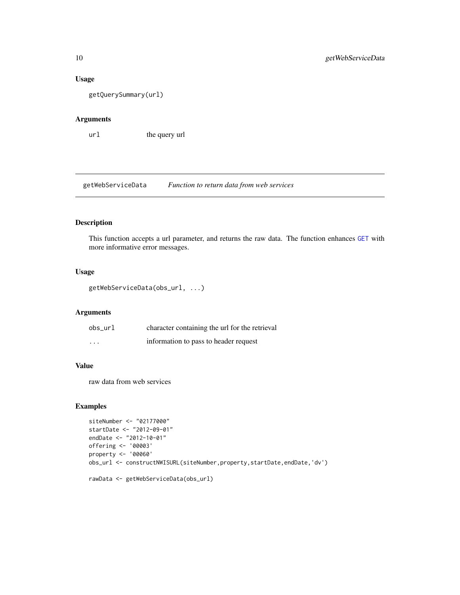#### Usage

getQuerySummary(url)

### Arguments

url the query url

getWebServiceData *Function to return data from web services*

### Description

This function accepts a url parameter, and returns the raw data. The function enhances [GET](#page-0-0) with more informative error messages.

### Usage

```
getWebServiceData(obs_url, ...)
```
#### Arguments

| obs url  | character containing the url for the retrieval |
|----------|------------------------------------------------|
| $\cdots$ | information to pass to header request          |

### Value

raw data from web services

```
siteNumber <- "02177000"
startDate <- "2012-09-01"
endDate <- "2012-10-01"
offering <- '00003'
property <- '00060'
obs_url <- constructNWISURL(siteNumber, property, startDate, endDate, 'dv')
rawData <- getWebServiceData(obs_url)
```
<span id="page-9-0"></span>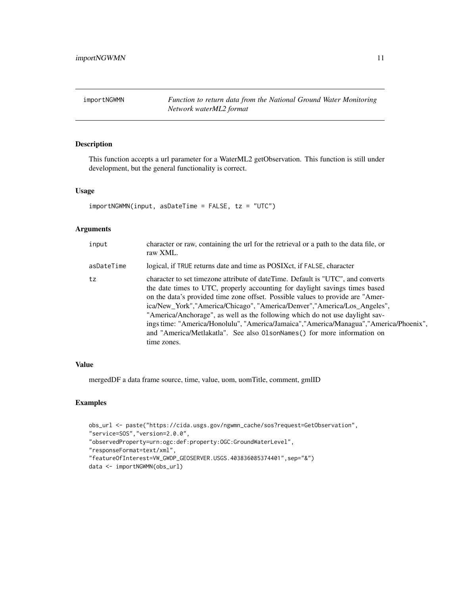<span id="page-10-0"></span>importNGWMN *Function to return data from the National Ground Water Monitoring Network waterML2 format*

### Description

This function accepts a url parameter for a WaterML2 getObservation. This function is still under development, but the general functionality is correct.

### Usage

```
importNGWMN(input, asDateTime = FALSE, tz = "UTC")
```
### Arguments

| input      | character or raw, containing the url for the retrieval or a path to the data file, or<br>raw XML.                                                                                                                                                                                                                                                                                                                                                                                                                                                                                                 |
|------------|---------------------------------------------------------------------------------------------------------------------------------------------------------------------------------------------------------------------------------------------------------------------------------------------------------------------------------------------------------------------------------------------------------------------------------------------------------------------------------------------------------------------------------------------------------------------------------------------------|
| asDateTime | logical, if TRUE returns date and time as POSIX ct, if FALSE, character                                                                                                                                                                                                                                                                                                                                                                                                                                                                                                                           |
| tz         | character to set timezone attribute of dateTime. Default is "UTC", and converts<br>the date times to UTC, properly accounting for daylight savings times based<br>on the data's provided time zone offset. Possible values to provide are "Amer-<br>ica/New_York","America/Chicago", "America/Denver","America/Los_Angeles",<br>"America/Anchorage", as well as the following which do not use daylight sav-<br>ings time: "America/Honolulu", "America/Jamaica", "America/Managua", "America/Phoenix",<br>and "America/Metlakatla". See also 01sonNames() for more information on<br>time zones. |

#### Value

mergedDF a data frame source, time, value, uom, uomTitle, comment, gmlID

```
obs_url <- paste("https://cida.usgs.gov/ngwmn_cache/sos?request=GetObservation",
"service=SOS","version=2.0.0",
"observedProperty=urn:ogc:def:property:OGC:GroundWaterLevel",
"responseFormat=text/xml",
"featureOfInterest=VW_GWDP_GEOSERVER.USGS.403836085374401",sep="&")
data <- importNGWMN(obs_url)
```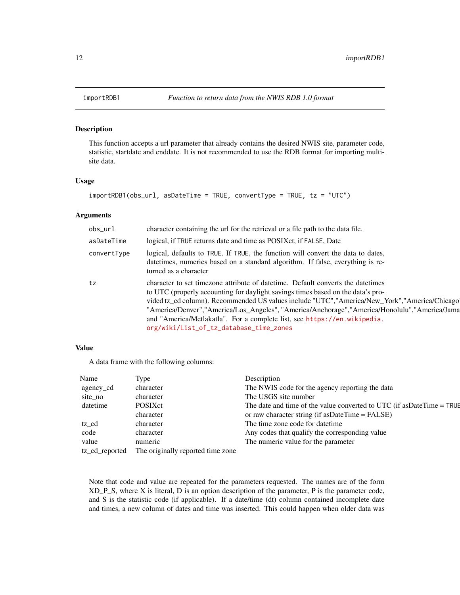### Description

This function accepts a url parameter that already contains the desired NWIS site, parameter code, statistic, startdate and enddate. It is not recommended to use the RDB format for importing multisite data.

#### Usage

```
importRDB1(obs_url, asDateTime = TRUE, convertType = TRUE, tz = "UTC")
```
#### Arguments

| obs_url     | character containing the url for the retrieval or a file path to the data file.                                                                                                                                                                                                                                                                                                                                                                                                             |
|-------------|---------------------------------------------------------------------------------------------------------------------------------------------------------------------------------------------------------------------------------------------------------------------------------------------------------------------------------------------------------------------------------------------------------------------------------------------------------------------------------------------|
| asDateTime  | logical, if TRUE returns date and time as POSIXct, if FALSE, Date                                                                                                                                                                                                                                                                                                                                                                                                                           |
| convertType | logical, defaults to TRUE. If TRUE, the function will convert the data to dates,<br>date times, numerics based on a standard algorithm. If false, everything is re-<br>turned as a character                                                                                                                                                                                                                                                                                                |
| tz          | character to set timezone attribute of date time. Default converts the date times<br>to UTC (properly accounting for daylight savings times based on the data's pro-<br>vided tz_cd column). Recommended US values include "UTC","America/New_York","America/Chicago<br>"America/Denver","America/Los_Angeles", "America/Anchorage","America/Honolulu","America/Jama<br>and "America/Metlakatla". For a complete list, see https://en.wikipedia.<br>org/wiki/List_of_tz_database_time_zones |

### Value

A data frame with the following columns:

| Name           | Type                              | Description                                                               |
|----------------|-----------------------------------|---------------------------------------------------------------------------|
| agency_cd      | character                         | The NWIS code for the agency reporting the data                           |
| site no        | character                         | The USGS site number                                                      |
| datetime       | <b>POSIX</b> ct                   | The date and time of the value converted to UTC (if as Date Time $=$ TRUE |
|                | character                         | or raw character string (if as DateTime $=$ FALSE)                        |
| tz cd          | character                         | The time zone code for date time                                          |
| code           | character                         | Any codes that qualify the corresponding value                            |
| value          | numeric                           | The numeric value for the parameter                                       |
| tz_cd_reported | The originally reported time zone |                                                                           |

Note that code and value are repeated for the parameters requested. The names are of the form XD\_P\_S, where X is literal, D is an option description of the parameter, P is the parameter code, and S is the statistic code (if applicable). If a date/time (dt) column contained incomplete date and times, a new column of dates and time was inserted. This could happen when older data was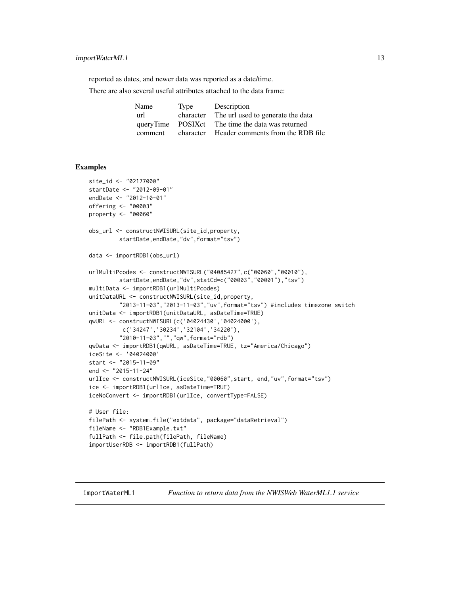### <span id="page-12-0"></span>importWaterML1 13

reported as dates, and newer data was reported as a date/time.

There are also several useful attributes attached to the data frame:

| Name    | Type      | Description                                       |
|---------|-----------|---------------------------------------------------|
| url     | character | The url used to generate the data                 |
|         |           | queryTime POSIX ct The time the data was returned |
| comment | character | Header comments from the RDB file                 |

#### Examples

```
site_id <- "02177000"
startDate <- "2012-09-01"
endDate <- "2012-10-01"
offering <- "00003"
property <- "00060"
obs_url <- constructNWISURL(site_id,property,
         startDate,endDate,"dv",format="tsv")
data <- importRDB1(obs_url)
urlMultiPcodes <- constructNWISURL("04085427",c("00060","00010"),
         startDate,endDate,"dv",statCd=c("00003","00001"),"tsv")
multiData <- importRDB1(urlMultiPcodes)
unitDataURL <- constructNWISURL(site_id,property,
         "2013-11-03","2013-11-03","uv",format="tsv") #includes timezone switch
unitData <- importRDB1(unitDataURL, asDateTime=TRUE)
qwURL <- constructNWISURL(c('04024430','04024000'),
         c('34247','30234','32104','34220'),
         "2010-11-03","","qw",format="rdb")
qwData <- importRDB1(qwURL, asDateTime=TRUE, tz="America/Chicago")
iceSite <- '04024000'
start <- "2015-11-09"
end <- "2015-11-24"
urlIce <- constructNWISURL(iceSite,"00060",start, end,"uv",format="tsv")
ice <- importRDB1(urlIce, asDateTime=TRUE)
iceNoConvert <- importRDB1(urlIce, convertType=FALSE)
# User file:
filePath <- system.file("extdata", package="dataRetrieval")
fileName <- "RDB1Example.txt"
fullPath <- file.path(filePath, fileName)
importUserRDB <- importRDB1(fullPath)
```
<span id="page-12-1"></span>importWaterML1 *Function to return data from the NWISWeb WaterML1.1 service*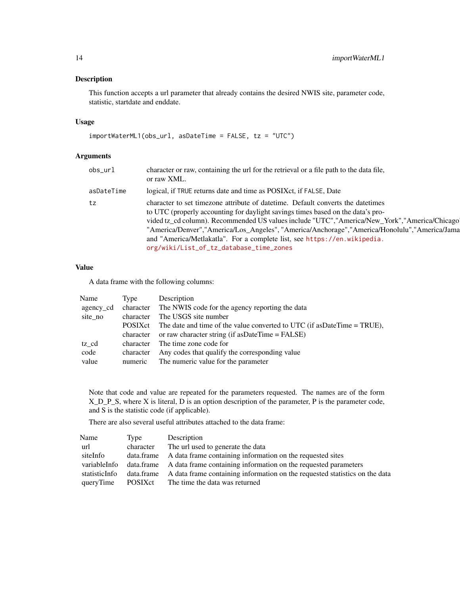### Description

This function accepts a url parameter that already contains the desired NWIS site, parameter code, statistic, startdate and enddate.

#### Usage

```
importWaterML1(obs_url, asDateTime = FALSE, tz = "UTC")
```
### Arguments

| obs url    | character or raw, containing the url for the retrieval or a file path to the data file,<br>or raw XML.                                                                                                                                                                                                                                                                                                                                                                                      |
|------------|---------------------------------------------------------------------------------------------------------------------------------------------------------------------------------------------------------------------------------------------------------------------------------------------------------------------------------------------------------------------------------------------------------------------------------------------------------------------------------------------|
| asDateTime | logical, if TRUE returns date and time as POSIX ct, if FALSE, Date                                                                                                                                                                                                                                                                                                                                                                                                                          |
| tz         | character to set timezone attribute of date time. Default converts the date times<br>to UTC (properly accounting for daylight savings times based on the data's pro-<br>vided tz_cd column). Recommended US values include "UTC","America/New_York","America/Chicago<br>"America/Denver","America/Los_Angeles", "America/Anchorage","America/Honolulu","America/Jama<br>and "America/Metlakatla". For a complete list, see https://en.wikipedia.<br>org/wiki/List_of_tz_database_time_zones |

#### Value

A data frame with the following columns:

| Name      | Type      | Description                                                                 |
|-----------|-----------|-----------------------------------------------------------------------------|
| agency_cd |           | character The NWIS code for the agency reporting the data                   |
| site no   | character | The USGS site number                                                        |
|           | POSIXct   | The date and time of the value converted to UTC (if as Date Time $=$ TRUE), |
|           |           | character or raw character string (if as Date Time $=$ FALSE)               |
| tz cd     |           | character The time zone code for                                            |
| code      | character | Any codes that qualify the corresponding value                              |
| value     | numeric   | The numeric value for the parameter                                         |

Note that code and value are repeated for the parameters requested. The names are of the form X\_D\_P\_S, where X is literal, D is an option description of the parameter, P is the parameter code, and S is the statistic code (if applicable).

There are also several useful attributes attached to the data frame:

| Name          | Type      | Description                                                                            |
|---------------|-----------|----------------------------------------------------------------------------------------|
| url           | character | The url used to generate the data                                                      |
| siteInfo      |           | data.frame A data frame containing information on the requested sites                  |
| variableInfo  |           | data.frame A data frame containing information on the requested parameters             |
| statisticInfo |           | data.frame A data frame containing information on the requested statistics on the data |
| queryTime     | POSIXct   | The time the data was returned                                                         |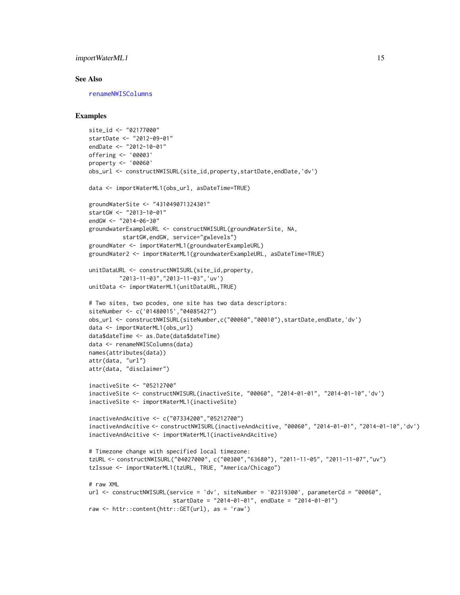### <span id="page-14-0"></span>importWaterML1 15

#### See Also

[renameNWISColumns](#page-49-1)

```
site_id <- "02177000"
startDate <- "2012-09-01"
endDate <- "2012-10-01"
offering <- '00003'
property <- '00060'
obs_url <- constructNWISURL(site_id,property,startDate,endDate,'dv')
data <- importWaterML1(obs_url, asDateTime=TRUE)
groundWaterSite <- "431049071324301"
startGW <- "2013-10-01"
endGW <- "2014-06-30"
groundwaterExampleURL <- constructNWISURL(groundWaterSite, NA,
          startGW,endGW, service="gwlevels")
groundWater <- importWaterML1(groundwaterExampleURL)
groundWater2 <- importWaterML1(groundwaterExampleURL, asDateTime=TRUE)
unitDataURL <- constructNWISURL(site_id,property,
         "2013-11-03","2013-11-03",'uv')
unitData <- importWaterML1(unitDataURL,TRUE)
# Two sites, two pcodes, one site has two data descriptors:
siteNumber <- c('01480015',"04085427")
obs_url <- constructNWISURL(siteNumber,c("00060","00010"),startDate,endDate,'dv')
data <- importWaterML1(obs_url)
data$dateTime <- as.Date(data$dateTime)
data <- renameNWISColumns(data)
names(attributes(data))
attr(data, "url")
attr(data, "disclaimer")
inactiveSite <- "05212700"
inactiveSite <- constructNWISURL(inactiveSite, "00060", "2014-01-01", "2014-01-10",'dv')
inactiveSite <- importWaterML1(inactiveSite)
inactiveAndAcitive <- c("07334200","05212700")
inactiveAndAcitive <- constructNWISURL(inactiveAndAcitive, "00060", "2014-01-01", "2014-01-10",'dv')
inactiveAndAcitive <- importWaterML1(inactiveAndAcitive)
# Timezone change with specified local timezone:
tzURL <- constructNWISURL("04027000", c("00300","63680"), "2011-11-05", "2011-11-07","uv")
tzIssue <- importWaterML1(tzURL, TRUE, "America/Chicago")
# raw XML
url <- constructNWISURL(service = 'dv', siteNumber = '02319300', parameterCd = "00060",
                         startDate = "2014-01-01", endDate = "2014-01-01")
raw <- httr::content(httr::GET(url), as = 'raw')
```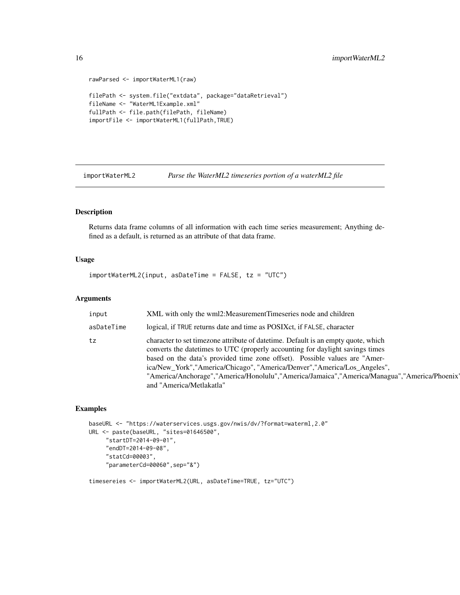```
rawParsed <- importWaterML1(raw)
filePath <- system.file("extdata", package="dataRetrieval")
fileName <- "WaterML1Example.xml"
fullPath <- file.path(filePath, fileName)
importFile <- importWaterML1(fullPath,TRUE)
```
importWaterML2 *Parse the WaterML2 timeseries portion of a waterML2 file*

### Description

Returns data frame columns of all information with each time series measurement; Anything defined as a default, is returned as an attribute of that data frame.

### Usage

 $importWaterML2(input, asDateTime = FALSE, tz = "UTC")$ 

### Arguments

| input      | XML with only the wml2: Measurement Timeseries node and children                                                                                                                                                                                                                                                                                                                                                                                           |
|------------|------------------------------------------------------------------------------------------------------------------------------------------------------------------------------------------------------------------------------------------------------------------------------------------------------------------------------------------------------------------------------------------------------------------------------------------------------------|
| asDateTime | logical, if TRUE returns date and time as POSIX ct, if FALSE, character                                                                                                                                                                                                                                                                                                                                                                                    |
| tz         | character to set timezone attribute of date time. Default is an empty quote, which<br>converts the date times to UTC (properly accounting for daylight savings times<br>based on the data's provided time zone offset). Possible values are "Amer-<br>ica/New_York","America/Chicago", "America/Denver","America/Los_Angeles",<br>"America/Anchorage","America/Honolulu","America/Jamaica","America/Managua","America/Phoenix"<br>and "America/Metlakatla" |

### Examples

```
baseURL <- "https://waterservices.usgs.gov/nwis/dv/?format=waterml,2.0"
URL <- paste(baseURL, "sites=01646500",
     "startDT=2014-09-01",
     "endDT=2014-09-08",
     "statCd=00003",
     "parameterCd=00060",sep="&")
```
timesereies <- importWaterML2(URL, asDateTime=TRUE, tz="UTC")

<span id="page-15-0"></span>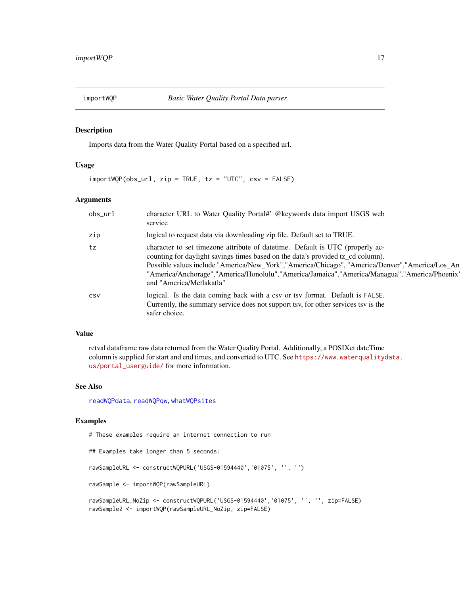<span id="page-16-1"></span><span id="page-16-0"></span>

#### Description

Imports data from the Water Quality Portal based on a specified url.

### Usage

 $importWQP(obsurl, zip = TRUE, tz = "UTC", csv = FALSE)$ 

#### Arguments

| obs_url | character URL to Water Quality Portal#' @keywords data import USGS web<br>service                                                                                                                                                                                                                                                                                                               |
|---------|-------------------------------------------------------------------------------------------------------------------------------------------------------------------------------------------------------------------------------------------------------------------------------------------------------------------------------------------------------------------------------------------------|
| zip     | logical to request data via downloading zip file. Default set to TRUE.                                                                                                                                                                                                                                                                                                                          |
| tz      | character to set timezone attribute of date time. Default is UTC (properly ac-<br>counting for daylight savings times based on the data's provided tz_cd column).<br>Possible values include "America/New_York","America/Chicago", "America/Denver","America/Los_An<br>"America/Anchorage","America/Honolulu","America/Jamaica","America/Managua","America/Phoenix"<br>and "America/Metlakatla" |
| CSV     | logical. Is the data coming back with a csy or tsy format. Default is FALSE.<br>Currently, the summary service does not support tsv, for other services tsv is the<br>safer choice.                                                                                                                                                                                                             |

#### Value

retval dataframe raw data returned from the Water Quality Portal. Additionally, a POSIXct dateTime column is supplied for start and end times, and converted to UTC. See [https://www.waterqualityd](https://www.waterqualitydata.us/portal_userguide/)ata. [us/portal\\_userguide/](https://www.waterqualitydata.us/portal_userguide/) for more information.

#### See Also

[readWQPdata](#page-43-1), [readWQPqw](#page-46-1), [whatWQPsites](#page-56-1)

### Examples

# These examples require an internet connection to run

## Examples take longer than 5 seconds: rawSampleURL <- constructWQPURL('USGS-01594440','01075', '', '') rawSample <- importWQP(rawSampleURL) rawSampleURL\_NoZip <- constructWQPURL('USGS-01594440','01075', '', '', zip=FALSE) rawSample2 <- importWQP(rawSampleURL\_NoZip, zip=FALSE)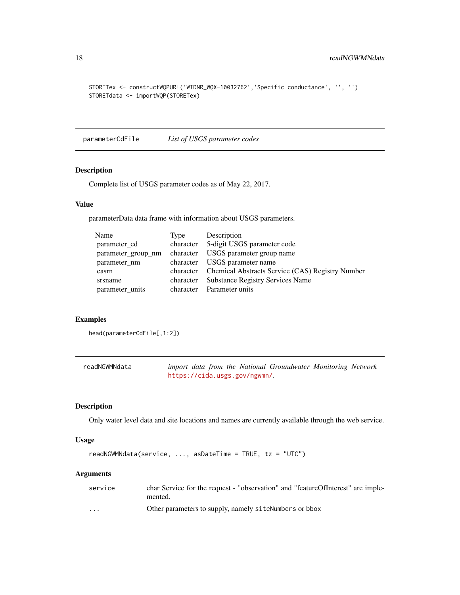```
STORETex <- constructWQPURL('WIDNR_WQX-10032762','Specific conductance', '', '')
STORETdata <- importWQP(STORETex)
```
parameterCdFile *List of USGS parameter codes*

#### Description

Complete list of USGS parameter codes as of May 22, 2017.

#### Value

parameterData data frame with information about USGS parameters.

| Type      | Description                                                |
|-----------|------------------------------------------------------------|
| character | 5-digit USGS parameter code                                |
| character | USGS parameter group name                                  |
| character | USGS parameter name                                        |
|           | character Chemical Abstracts Service (CAS) Registry Number |
| character | <b>Substance Registry Services Name</b>                    |
| character | Parameter units                                            |
|           |                                                            |

#### Examples

head(parameterCdFile[,1:2])

| readNGWMNdata | import data from the National Groundwater Monitoring Network |
|---------------|--------------------------------------------------------------|
|               | https://cida.usgs.gov/ngwmn/.                                |

#### Description

Only water level data and site locations and names are currently available through the web service.

#### Usage

```
readNGWMNdata(service, ..., asDateTime = TRUE, tz = "UTC")
```
### Arguments

| service                 | char Service for the request - "observation" and "featureOfInterest" are imple-<br>mented. |
|-------------------------|--------------------------------------------------------------------------------------------|
| $\cdot$ $\cdot$ $\cdot$ | Other parameters to supply, namely siteNumbers or bbox                                     |

<span id="page-17-0"></span>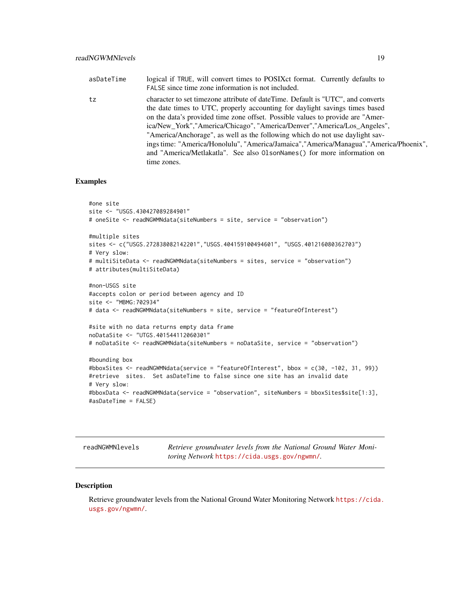<span id="page-18-0"></span>

| asDateTime | logical if TRUE, will convert times to POSIXct format. Currently defaults to<br>FALSE since time zone information is not included.                                                                                                                                                                                                                                                                                                                                                                                                                                                                  |
|------------|-----------------------------------------------------------------------------------------------------------------------------------------------------------------------------------------------------------------------------------------------------------------------------------------------------------------------------------------------------------------------------------------------------------------------------------------------------------------------------------------------------------------------------------------------------------------------------------------------------|
| tz         | character to set timezone attribute of dateTime. Default is "UTC", and converts<br>the date times to UTC, properly accounting for daylight savings times based<br>on the data's provided time zone offset. Possible values to provide are "Amer-<br>ica/New_York","America/Chicago", "America/Denver","America/Los_Angeles",<br>"America/Anchorage", as well as the following which do not use daylight sav-<br>ings time: "America/Honolulu", "America/Jamaica", "America/Managua", "America/Phoenix",<br>and "America/Metlakatla". See also 01 sonNames () for more information on<br>time zones. |

### Examples

```
#one site
site <- "USGS.430427089284901"
# oneSite <- readNGWMNdata(siteNumbers = site, service = "observation")
#multiple sites
sites <- c("USGS.272838082142201","USGS.404159100494601", "USGS.401216080362703")
# Very slow:
# multiSiteData <- readNGWMNdata(siteNumbers = sites, service = "observation")
# attributes(multiSiteData)
#non-USGS site
#accepts colon or period between agency and ID
site <- "MBMG:702934"
# data <- readNGWMNdata(siteNumbers = site, service = "featureOfInterest")
#site with no data returns empty data frame
noDataSite <- "UTGS.401544112060301"
# noDataSite <- readNGWMNdata(siteNumbers = noDataSite, service = "observation")
#bounding box
#bboxSites <- readNGWMNdata(service = "featureOfInterest", bbox = c(30, -102, 31, 99))
#retrieve sites. Set asDateTime to false since one site has an invalid date
# Very slow:
#bboxData <- readNGWMNdata(service = "observation", siteNumbers = bboxSites$site[1:3],
#asDateTime = FALSE)
```
readNGWMNlevels *Retrieve groundwater levels from the National Ground Water Monitoring Network* <https://cida.usgs.gov/ngwmn/>*.*

#### Description

Retrieve groundwater levels from the National Ground Water Monitoring Network [https://cida.](https://cida.usgs.gov/ngwmn/) [usgs.gov/ngwmn/](https://cida.usgs.gov/ngwmn/).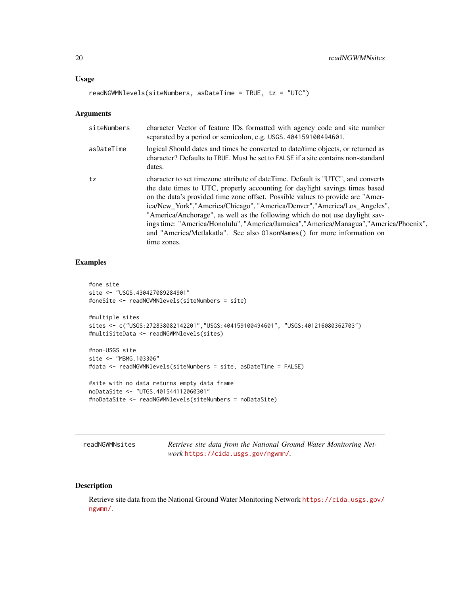#### <span id="page-19-0"></span>Usage

```
readNGWMNlevels(siteNumbers, asDateTime = TRUE, tz = "UTC")
```
#### Arguments

| siteNumbers | character Vector of feature IDs formatted with agency code and site number<br>separated by a period or semicolon, e.g. USGS. 404159100494601.                                                                                                                                                                                                                                                                                                                                                                                                                                                      |
|-------------|----------------------------------------------------------------------------------------------------------------------------------------------------------------------------------------------------------------------------------------------------------------------------------------------------------------------------------------------------------------------------------------------------------------------------------------------------------------------------------------------------------------------------------------------------------------------------------------------------|
| asDateTime  | logical Should dates and times be converted to date/time objects, or returned as<br>character? Defaults to TRUE. Must be set to FALSE if a site contains non-standard<br>dates.                                                                                                                                                                                                                                                                                                                                                                                                                    |
| tz          | character to set timezone attribute of date Time. Default is "UTC", and converts<br>the date times to UTC, properly accounting for daylight savings times based<br>on the data's provided time zone offset. Possible values to provide are "Amer-<br>ica/New_York","America/Chicago", "America/Denver","America/Los_Angeles",<br>"America/Anchorage", as well as the following which do not use daylight sav-<br>ings time: "America/Honolulu", "America/Jamaica", "America/Managua", "America/Phoenix",<br>and "America/Metlakatla". See also 01sonNames() for more information on<br>time zones. |

### Examples

```
#one site
site <- "USGS.430427089284901"
#oneSite <- readNGWMNlevels(siteNumbers = site)
#multiple sites
sites <- c("USGS:272838082142201","USGS:404159100494601", "USGS:401216080362703")
#multiSiteData <- readNGWMNlevels(sites)
#non-USGS site
site <- "MBMG.103306"
#data <- readNGWMNlevels(siteNumbers = site, asDateTime = FALSE)
#site with no data returns empty data frame
noDataSite <- "UTGS.401544112060301"
#noDataSite <- readNGWMNlevels(siteNumbers = noDataSite)
```
readNGWMNsites *Retrieve site data from the National Ground Water Monitoring Network* <https://cida.usgs.gov/ngwmn/>*.*

#### Description

Retrieve site data from the National Ground Water Monitoring Network [https://cida.usgs.gov/](https://cida.usgs.gov/ngwmn/) [ngwmn/](https://cida.usgs.gov/ngwmn/).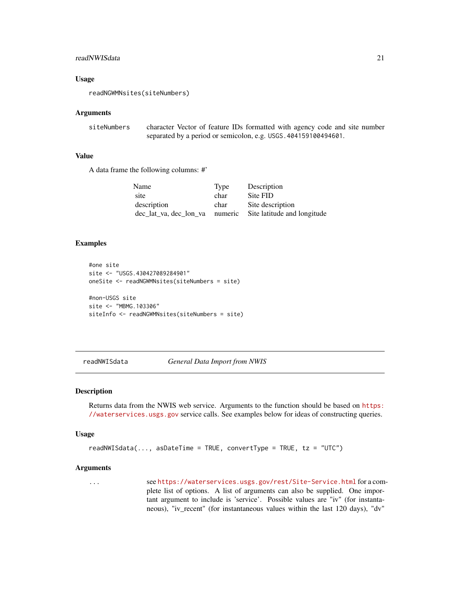#### <span id="page-20-0"></span>readNWISdata 21

#### Usage

readNGWMNsites(siteNumbers)

#### Arguments

siteNumbers character Vector of feature IDs formatted with agency code and site number separated by a period or semicolon, e.g. USGS.404159100494601.

#### Value

A data frame the following columns: #'

| Name                   | Type    | Description                 |
|------------------------|---------|-----------------------------|
| site                   | char    | Site FID                    |
| description            | char    | Site description            |
| dec lat va, dec lon va | numeric | Site latitude and longitude |

### Examples

```
#one site
site <- "USGS.430427089284901"
oneSite <- readNGWMNsites(siteNumbers = site)
#non-USGS site
site <- "MBMG.103306"
siteInfo <- readNGWMNsites(siteNumbers = site)
```
readNWISdata *General Data Import from NWIS*

#### Description

Returns data from the NWIS web service. Arguments to the function should be based on [https:](https://waterservices.usgs.gov) [//waterservices.usgs.gov](https://waterservices.usgs.gov) service calls. See examples below for ideas of constructing queries.

#### Usage

```
readNWISdata(..., asDateTime = TRUE, convertType = TRUE, tz = "UTC")
```
#### Arguments

... see <https://waterservices.usgs.gov/rest/Site-Service.html> for a complete list of options. A list of arguments can also be supplied. One important argument to include is 'service'. Possible values are "iv" (for instantaneous), "iv\_recent" (for instantaneous values within the last 120 days), "dv"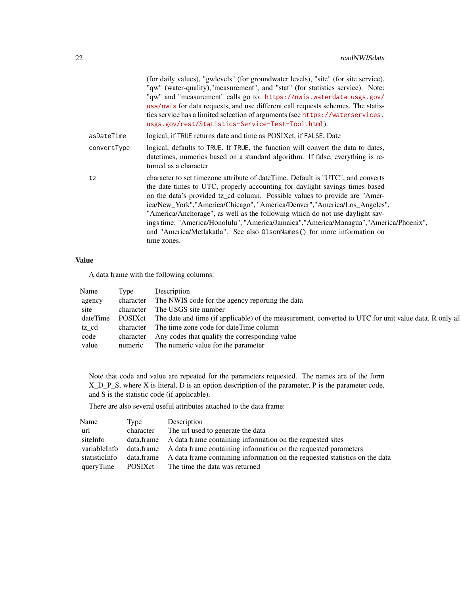|             | (for daily values), "gwlevels" (for groundwater levels), "site" (for site service),<br>"qw" (water-quality), "measurement", and "stat" (for statistics service). Note:<br>"qw" and "measurement" calls go to: https://nwis.waterdata.usgs.gov/<br>usa/nwis for data requests, and use different call requests schemes. The statis-<br>tics service has a limited selection of arguments (see https://waterservices.<br>usgs.gov/rest/Statistics-Service-Test-Tool.html).                                                                                                                    |
|-------------|---------------------------------------------------------------------------------------------------------------------------------------------------------------------------------------------------------------------------------------------------------------------------------------------------------------------------------------------------------------------------------------------------------------------------------------------------------------------------------------------------------------------------------------------------------------------------------------------|
| asDateTime  | logical, if TRUE returns date and time as POSIXct, if FALSE, Date                                                                                                                                                                                                                                                                                                                                                                                                                                                                                                                           |
| convertType | logical, defaults to TRUE. If TRUE, the function will convert the data to dates,<br>date times, numerics based on a standard algorithm. If false, everything is re-<br>turned as a character                                                                                                                                                                                                                                                                                                                                                                                                |
| tz          | character to set timezone attribute of dateTime. Default is "UTC", and converts<br>the date times to UTC, properly accounting for daylight savings times based<br>on the data's provided tz_cd column. Possible values to provide are "Amer-<br>ica/New_York","America/Chicago", "America/Denver","America/Los_Angeles",<br>"America/Anchorage", as well as the following which do not use daylight sav-<br>ings time: "America/Honolulu", "America/Jamaica","America/Managua","America/Phoenix",<br>and "America/Metlakatla". See also 01sonNames() for more information on<br>time zones. |

### Value

A data frame with the following columns:

| Name   | Type | Description                                                                                                            |
|--------|------|------------------------------------------------------------------------------------------------------------------------|
| agency |      | character The NWIS code for the agency reporting the data                                                              |
| site   |      | character The USGS site number                                                                                         |
|        |      | dateTime POSIXct The date and time (if applicable) of the measurement, converted to UTC for unit value data. R only al |
| tz cd  |      | character The time zone code for dateTime column                                                                       |
| code   |      | character Any codes that qualify the corresponding value                                                               |
| value  |      | numeric The numeric value for the parameter                                                                            |

Note that code and value are repeated for the parameters requested. The names are of the form X\_D\_P\_S, where X is literal, D is an option description of the parameter, P is the parameter code, and S is the statistic code (if applicable).

There are also several useful attributes attached to the data frame:

| Name          | Type      | Description                                                                            |
|---------------|-----------|----------------------------------------------------------------------------------------|
| url           | character | The url used to generate the data                                                      |
| siteInfo      |           | data.frame A data frame containing information on the requested sites                  |
| variableInfo  |           | data.frame A data frame containing information on the requested parameters             |
| statisticInfo |           | data.frame A data frame containing information on the requested statistics on the data |
| queryTime     | POSIXct   | The time the data was returned                                                         |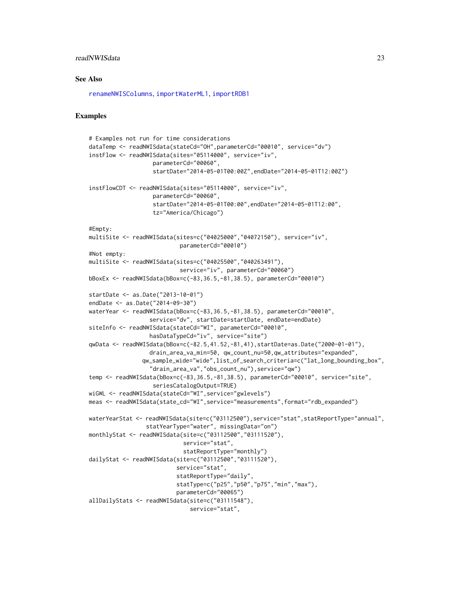### <span id="page-22-0"></span>readNWISdata 23

#### See Also

[renameNWISColumns](#page-49-1), [importWaterML1](#page-12-1), [importRDB1](#page-11-1)

```
# Examples not run for time considerations
dataTemp <- readNWISdata(stateCd="OH",parameterCd="00010", service="dv")
instFlow <- readNWISdata(sites="05114000", service="iv",
                   parameterCd="00060",
                   startDate="2014-05-01T00:00Z",endDate="2014-05-01T12:00Z")
instFlowCDT <- readNWISdata(sites="05114000", service="iv",
                   parameterCd="00060",
                   startDate="2014-05-01T00:00",endDate="2014-05-01T12:00",
                   tz="America/Chicago")
#Empty:
multiSite <- readNWISdata(sites=c("04025000","04072150"), service="iv",
                           parameterCd="00010")
#Not empty:
multiSite <- readNWISdata(sites=c("04025500","040263491"),
                           service="iv", parameterCd="00060")
bBoxEx <- readNWISdata(bBox=c(-83,36.5,-81,38.5), parameterCd="00010")
startDate <- as.Date("2013-10-01")
endDate <- as.Date("2014-09-30")
waterYear <- readNWISdata(bBox=c(-83,36.5,-81,38.5), parameterCd="00010",
                  service="dv", startDate=startDate, endDate=endDate)
siteInfo <- readNWISdata(stateCd="WI", parameterCd="00010",
                  hasDataTypeCd="iv", service="site")
qwData <- readNWISdata(bBox=c(-82.5,41.52,-81,41),startDate=as.Date("2000-01-01"),
                  drain_area_va_min=50, qw_count_nu=50,qw_attributes="expanded",
                qw_sample_wide="wide",list_of_search_criteria=c("lat_long_bounding_box",
                  "drain_area_va","obs_count_nu"),service="qw")
temp <- readNWISdata(bBox=c(-83,36.5,-81,38.5), parameterCd="00010", service="site",
                   seriesCatalogOutput=TRUE)
wiGWL <- readNWISdata(stateCd="WI",service="gwlevels")
meas <- readNWISdata(state_cd="WI",service="measurements",format="rdb_expanded")
waterYearStat <- readNWISdata(site=c("03112500"),service="stat",statReportType="annual",
                 statYearType="water", missingData="on")
monthlyStat <- readNWISdata(site=c("03112500","03111520"),
                            service="stat",
                            statReportType="monthly")
dailyStat <- readNWISdata(site=c("03112500","03111520"),
                          service="stat",
                          statReportType="daily",
                          statType=c("p25","p50","p75","min","max"),
                          parameterCd="00065")
allDailyStats <- readNWISdata(site=c("03111548"),
                              service="stat",
```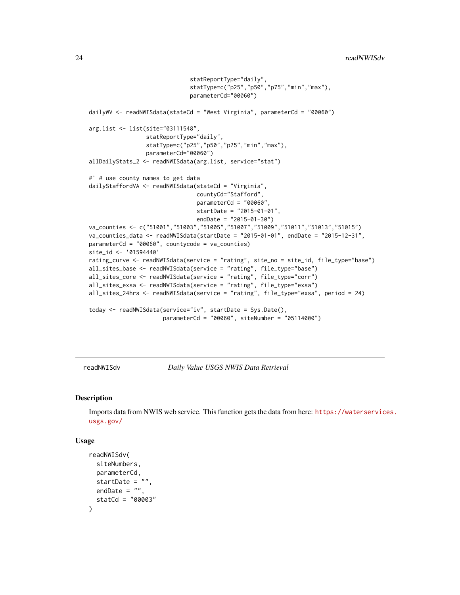```
statReportType="daily",
                              statType=c("p25","p50","p75","min","max"),
                              parameterCd="00060")
dailyWV <- readNWISdata(stateCd = "West Virginia", parameterCd = "00060")
arg.list <- list(site="03111548",
                 statReportType="daily",
                 statType=c("p25","p50","p75","min","max"),
                 parameterCd="00060")
allDailyStats_2 <- readNWISdata(arg.list, service="stat")
#' # use county names to get data
dailyStaffordVA <- readNWISdata(stateCd = "Virginia",
                                countyCd="Stafford",
                                parameterCd = "00060",
                                startDate = "2015-01-01",
                                endDate = "2015-01-30")
va_counties <- c("51001","51003","51005","51007","51009","51011","51013","51015")
va_counties_data <- readNWISdata(startDate = "2015-01-01", endDate = "2015-12-31",
parameterCd = "00060", countycode = va_counties)
site_id <- '01594440'
rating_curve <- readNWISdata(service = "rating", site_no = site_id, file_type="base")
all_sites_base <- readNWISdata(service = "rating", file_type="base")
all_sites_core <- readNWISdata(service = "rating", file_type="corr")
all_sites_exsa <- readNWISdata(service = "rating", file_type="exsa")
all_sites_24hrs <- readNWISdata(service = "rating", file_type="exsa", period = 24)
today <- readNWISdata(service="iv", startDate = Sys.Date(),
                      parameterCd = "00060", siteNumber = "05114000")
```
<span id="page-23-1"></span>readNWISdv *Daily Value USGS NWIS Data Retrieval*

#### Description

Imports data from NWIS web service. This function gets the data from here: [https://waterservic](https://waterservices.usgs.gov/)es. [usgs.gov/](https://waterservices.usgs.gov/)

#### Usage

```
readNWISdv(
  siteNumbers,
 parameterCd,
 startDate = "",
 endDate = ",
  statCd = "00003"
)
```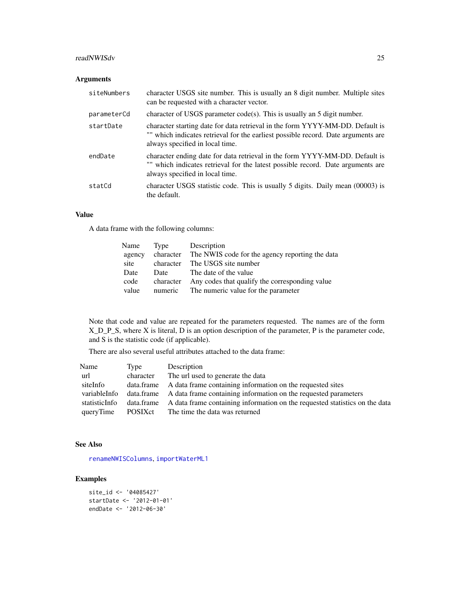#### <span id="page-24-0"></span>readNWISdv 25

### Arguments

| siteNumbers | character USGS site number. This is usually an 8 digit number. Multiple sites<br>can be requested with a character vector.                                                                            |
|-------------|-------------------------------------------------------------------------------------------------------------------------------------------------------------------------------------------------------|
| parameterCd | character of USGS parameter $code(s)$ . This is usually an 5 digit number.                                                                                                                            |
| startDate   | character starting date for data retrieval in the form YYYY-MM-DD. Default is<br>"" which indicates retrieval for the earliest possible record. Date arguments are<br>always specified in local time. |
| endDate     | character ending date for data retrieval in the form YYYY-MM-DD. Default is<br>"" which indicates retrieval for the latest possible record. Date arguments are<br>always specified in local time.     |
| statCd      | character USGS statistic code. This is usually 5 digits. Daily mean (00003) is<br>the default.                                                                                                        |

### Value

A data frame with the following columns:

| Name   | Type      | Description                                     |
|--------|-----------|-------------------------------------------------|
| agency | character | The NWIS code for the agency reporting the data |
| site   | character | The USGS site number                            |
| Date   | Date      | The date of the value                           |
| code   | character | Any codes that qualify the corresponding value  |
| value  | numeric   | The numeric value for the parameter             |

Note that code and value are repeated for the parameters requested. The names are of the form X\_D\_P\_S, where X is literal, D is an option description of the parameter, P is the parameter code, and S is the statistic code (if applicable).

There are also several useful attributes attached to the data frame:

| Name          | Type      | Description                                                                            |
|---------------|-----------|----------------------------------------------------------------------------------------|
| url           | character | The url used to generate the data                                                      |
| siteInfo      |           | data frame A data frame containing information on the requested sites                  |
| variableInfo  |           | data.frame A data frame containing information on the requested parameters             |
| statisticInfo |           | data.frame A data frame containing information on the requested statistics on the data |
| queryTime     | POSIXct   | The time the data was returned                                                         |

#### See Also

[renameNWISColumns](#page-49-1), [importWaterML1](#page-12-1)

```
site_id <- '04085427'
startDate <- '2012-01-01'
endDate <- '2012-06-30'
```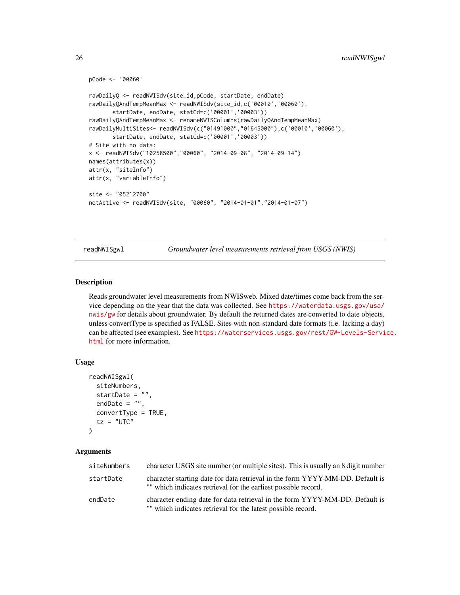```
pCode <- '00060'
rawDailyQ <- readNWISdv(site_id,pCode, startDate, endDate)
rawDailyQAndTempMeanMax <- readNWISdv(site_id,c('00010','00060'),
      startDate, endDate, statCd=c('00001','00003'))
rawDailyQAndTempMeanMax <- renameNWISColumns(rawDailyQAndTempMeanMax)
rawDailyMultiSites<- readNWISdv(c("01491000","01645000"),c('00010','00060'),
      startDate, endDate, statCd=c('00001','00003'))
# Site with no data:
x <- readNWISdv("10258500","00060", "2014-09-08", "2014-09-14")
names(attributes(x))
attr(x, "siteInfo")
attr(x, "variableInfo")
site <- "05212700"
notActive <- readNWISdv(site, "00060", "2014-01-01","2014-01-07")
```
readNWISgwl *Groundwater level measurements retrieval from USGS (NWIS)*

#### **Description**

Reads groundwater level measurements from NWISweb. Mixed date/times come back from the service depending on the year that the data was collected. See [https://waterdata.usgs.gov/usa/](https://waterdata.usgs.gov/usa/nwis/gw) [nwis/gw](https://waterdata.usgs.gov/usa/nwis/gw) for details about groundwater. By default the returned dates are converted to date objects, unless convertType is specified as FALSE. Sites with non-standard date formats (i.e. lacking a day) can be affected (see examples). See [https://waterservices.usgs.gov/rest/GW-Levels-Servi](https://waterservices.usgs.gov/rest/GW-Levels-Service.html)ce. [html](https://waterservices.usgs.gov/rest/GW-Levels-Service.html) for more information.

#### Usage

```
readNWISgwl(
  siteNumbers,
  startDate = "",
  endDate = ",
  convertType = TRUE,
  tz = "UTC")
```
#### Arguments

| siteNumbers | character USGS site number (or multiple sites). This is usually an 8 digit number                                                               |
|-------------|-------------------------------------------------------------------------------------------------------------------------------------------------|
| startDate   | character starting date for data retrieval in the form YYYY-MM-DD. Default is<br>"" which indicates retrieval for the earliest possible record. |
| endDate     | character ending date for data retrieval in the form YYYY-MM-DD. Default is<br>"" which indicates retrieval for the latest possible record.     |

<span id="page-25-0"></span>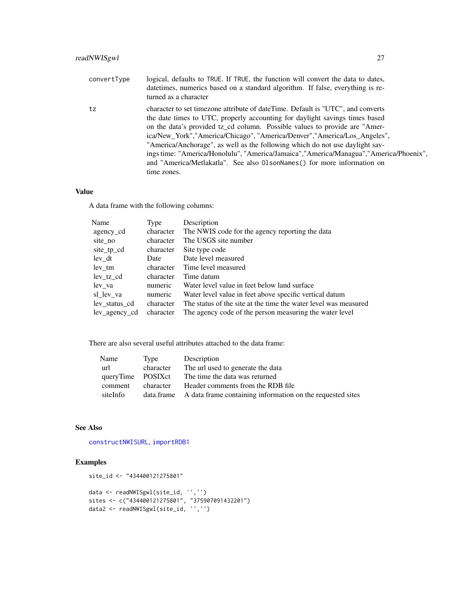<span id="page-26-0"></span>

| convertType | logical, defaults to TRUE. If TRUE, the function will convert the data to dates,<br>datetimes, numerics based on a standard algorithm. If false, everything is re-<br>turned as a character                                                                                                                                                                                                                                                                                                                                                                                                   |
|-------------|-----------------------------------------------------------------------------------------------------------------------------------------------------------------------------------------------------------------------------------------------------------------------------------------------------------------------------------------------------------------------------------------------------------------------------------------------------------------------------------------------------------------------------------------------------------------------------------------------|
| tz          | character to set timezone attribute of dateTime. Default is "UTC", and converts<br>the date times to UTC, properly accounting for daylight savings times based<br>on the data's provided tz_cd column. Possible values to provide are "Amer-<br>ica/New_York","America/Chicago", "America/Denver","America/Los_Angeles",<br>"America/Anchorage", as well as the following which do not use daylight sav-<br>ings time: "America/Honolulu", "America/Jamaica", "America/Managua", "America/Phoenix",<br>and "America/Metlakatla". See also 01sonNames() for more information on<br>time zones. |

### Value

A data frame with the following columns:

| Name          | Type      | Description                                                     |
|---------------|-----------|-----------------------------------------------------------------|
| agency cd     | character | The NWIS code for the agency reporting the data                 |
| site_no       | character | The USGS site number                                            |
| site_tp_cd    | character | Site type code                                                  |
| lev dt        | Date      | Date level measured                                             |
| lev tm        | character | Time level measured                                             |
| lev tz cd     | character | Time datum                                                      |
| lev va        | numeric   | Water level value in feet below land surface                    |
| sl_lev_va     | numeric   | Water level value in feet above specific vertical datum         |
| lev status cd | character | The status of the site at the time the water level was measured |
| lev agency cd | character | The agency code of the person measuring the water level         |

There are also several useful attributes attached to the data frame:

| Name              | Type      | Description                                                           |
|-------------------|-----------|-----------------------------------------------------------------------|
| url               | character | The url used to generate the data                                     |
| queryTime POSIXct |           | The time the data was returned                                        |
| comment           | character | Header comments from the RDB file                                     |
| siteInfo          |           | data.frame A data frame containing information on the requested sites |

### See Also

[constructNWISURL](#page-3-1), [importRDB1](#page-11-1)

```
site_id <- "434400121275801"
data <- readNWISgwl(site_id, '','')
sites <- c("434400121275801", "375907091432201")
data2 <- readNWISgwl(site_id, '','')
```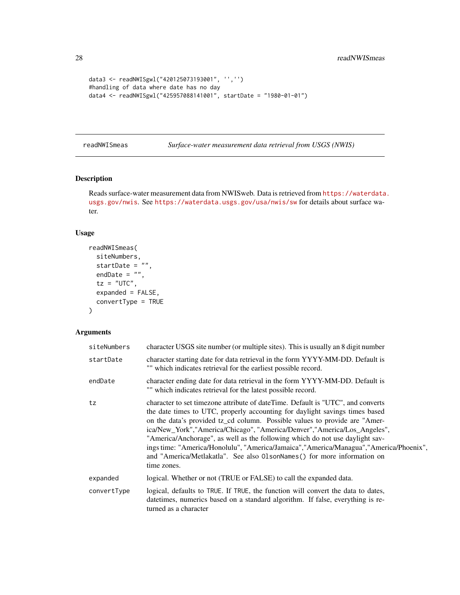```
data3 <- readNWISgwl("420125073193001", '','')
#handling of data where date has no day
data4 <- readNWISgwl("425957088141001", startDate = "1980-01-01")
```
readNWISmeas *Surface-water measurement data retrieval from USGS (NWIS)*

### Description

Reads surface-water measurement data from NWISweb. Data is retrieved from [https://waterdata](https://waterdata.usgs.gov/nwis). [usgs.gov/nwis](https://waterdata.usgs.gov/nwis). See <https://waterdata.usgs.gov/usa/nwis/sw> for details about surface water.

### Usage

```
readNWISmeas(
  siteNumbers,
  startDate = ",
 endDate = ",
  tz = "UTC",expanded = FALSE,
  convertType = TRUE
\mathcal{L}
```
### Arguments

| siteNumbers | character USGS site number (or multiple sites). This is usually an 8 digit number                                                                                                                                                                                                                                                                                                                                                                                                                                                                                                             |
|-------------|-----------------------------------------------------------------------------------------------------------------------------------------------------------------------------------------------------------------------------------------------------------------------------------------------------------------------------------------------------------------------------------------------------------------------------------------------------------------------------------------------------------------------------------------------------------------------------------------------|
| startDate   | character starting date for data retrieval in the form YYYY-MM-DD. Default is<br>"" which indicates retrieval for the earliest possible record.                                                                                                                                                                                                                                                                                                                                                                                                                                               |
| endDate     | character ending date for data retrieval in the form YYYY-MM-DD. Default is<br>"" which indicates retrieval for the latest possible record.                                                                                                                                                                                                                                                                                                                                                                                                                                                   |
| tz          | character to set timezone attribute of dateTime. Default is "UTC", and converts<br>the date times to UTC, properly accounting for daylight savings times based<br>on the data's provided tz_cd column. Possible values to provide are "Amer-<br>ica/New_York","America/Chicago", "America/Denver","America/Los_Angeles",<br>"America/Anchorage", as well as the following which do not use daylight sav-<br>ings time: "America/Honolulu", "America/Jamaica", "America/Managua", "America/Phoenix",<br>and "America/Metlakatla". See also 01sonNames() for more information on<br>time zones. |
| expanded    | logical. Whether or not (TRUE or FALSE) to call the expanded data.                                                                                                                                                                                                                                                                                                                                                                                                                                                                                                                            |
| convertType | logical, defaults to TRUE. If TRUE, the function will convert the data to dates,<br>date times, numerics based on a standard algorithm. If false, everything is re-<br>turned as a character                                                                                                                                                                                                                                                                                                                                                                                                  |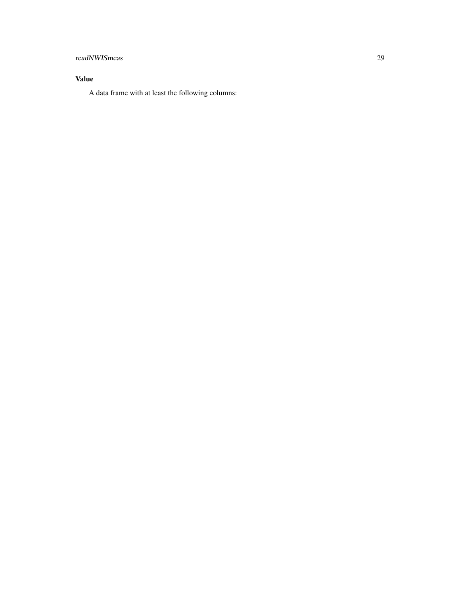## readNWISmeas 29

### Value

A data frame with at least the following columns: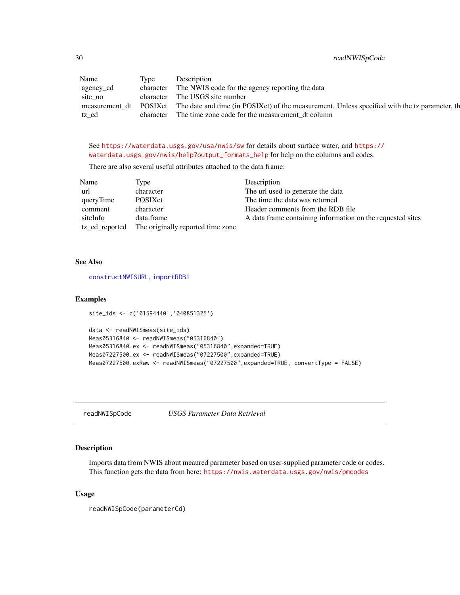<span id="page-29-0"></span>30 readNWISpCode

| Name      | lype | Description                                                                                                           |
|-----------|------|-----------------------------------------------------------------------------------------------------------------------|
| agency_cd |      | character The NWIS code for the agency reporting the data                                                             |
| site no   |      | character The USGS site number                                                                                        |
|           |      | measurement_dt POSIXct The date and time (in POSIXct) of the measurement. Unless specified with the tz parameter, the |
| tz cd     |      | character The time zone code for the measurement dt column                                                            |

See <https://waterdata.usgs.gov/usa/nwis/sw> for details about surface water, and [https://](https://waterdata.usgs.gov/nwis/help?output_formats_help) [waterdata.usgs.gov/nwis/help?output\\_formats\\_help](https://waterdata.usgs.gov/nwis/help?output_formats_help) for help on the columns and codes.

There are also several useful attributes attached to the data frame:

| Name      | Type                                             | Description                                                |
|-----------|--------------------------------------------------|------------------------------------------------------------|
| url       | character                                        | The url used to generate the data                          |
| queryTime | <b>POSIX</b> ct                                  | The time the data was returned                             |
| comment   | character                                        | Header comments from the RDB file                          |
| siteInfo  | data.frame                                       | A data frame containing information on the requested sites |
|           | tz_cd_reported The originally reported time zone |                                                            |

### See Also

[constructNWISURL](#page-3-1), [importRDB1](#page-11-1)

#### Examples

```
site_ids <- c('01594440','040851325')
```

```
data <- readNWISmeas(site_ids)
Meas05316840 <- readNWISmeas("05316840")
Meas05316840.ex <- readNWISmeas("05316840",expanded=TRUE)
Meas07227500.ex <- readNWISmeas("07227500",expanded=TRUE)
Meas07227500.exRaw <- readNWISmeas("07227500",expanded=TRUE, convertType = FALSE)
```
readNWISpCode *USGS Parameter Data Retrieval*

#### Description

Imports data from NWIS about meaured parameter based on user-supplied parameter code or codes. This function gets the data from here: <https://nwis.waterdata.usgs.gov/nwis/pmcodes>

#### Usage

readNWISpCode(parameterCd)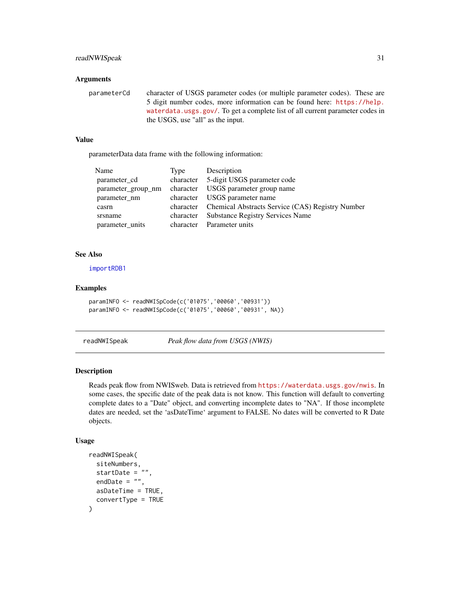### <span id="page-30-0"></span>readNWISpeak 31

#### **Arguments**

parameterCd character of USGS parameter codes (or multiple parameter codes). These are 5 digit number codes, more information can be found here: [https://help.](https://help.waterdata.usgs.gov/) [waterdata.usgs.gov/](https://help.waterdata.usgs.gov/). To get a complete list of all current parameter codes in the USGS, use "all" as the input.

### Value

parameterData data frame with the following information:

| Name               | Type      | Description                                                |
|--------------------|-----------|------------------------------------------------------------|
| parameter_cd       | character | 5-digit USGS parameter code                                |
| parameter group nm | character | USGS parameter group name                                  |
| parameter nm       | character | USGS parameter name                                        |
| casrn              |           | character Chemical Abstracts Service (CAS) Registry Number |
| srsname            | character | <b>Substance Registry Services Name</b>                    |
| parameter_units    | character | Parameter units                                            |

#### See Also

[importRDB1](#page-11-1)

### Examples

```
paramINFO <- readNWISpCode(c('01075','00060','00931'))
paramINFO <- readNWISpCode(c('01075','00060','00931', NA))
```
readNWISpeak *Peak flow data from USGS (NWIS)*

#### Description

Reads peak flow from NWISweb. Data is retrieved from <https://waterdata.usgs.gov/nwis>. In some cases, the specific date of the peak data is not know. This function will default to converting complete dates to a "Date" object, and converting incomplete dates to "NA". If those incomplete dates are needed, set the 'asDateTime' argument to FALSE. No dates will be converted to R Date objects.

#### Usage

```
readNWISpeak(
  siteNumbers,
  startDate = ",
  endDate = ".
  asDateTime = TRUE,
  convertType = TRUE
)
```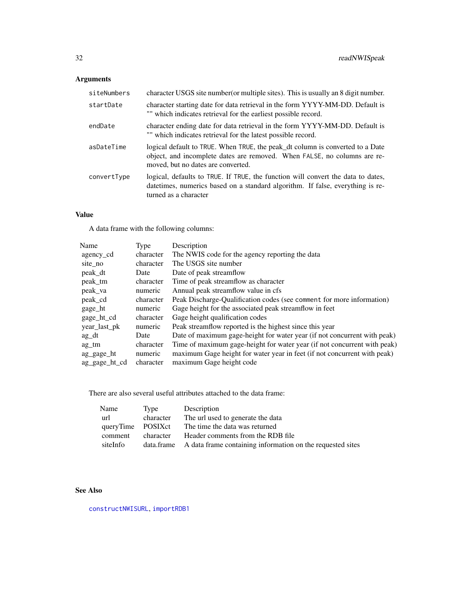## <span id="page-31-0"></span>Arguments

| siteNumbers | character USGS site number (or multiple sites). This is usually an 8 digit number.                                                                                                              |
|-------------|-------------------------------------------------------------------------------------------------------------------------------------------------------------------------------------------------|
| startDate   | character starting date for data retrieval in the form YYYY-MM-DD. Default is<br>"" which indicates retrieval for the earliest possible record.                                                 |
| endDate     | character ending date for data retrieval in the form YYYY-MM-DD. Default is<br>"" which indicates retrieval for the latest possible record.                                                     |
| asDateTime  | logical default to TRUE. When TRUE, the peak_dt column is converted to a Date<br>object, and incomplete dates are removed. When FALSE, no columns are re-<br>moved, but no dates are converted. |
| convertType | logical, defaults to TRUE. If TRUE, the function will convert the data to dates,<br>datetimes, numerics based on a standard algorithm. If false, everything is re-<br>turned as a character     |

### Value

A data frame with the following columns:

| Name          | Type      | Description                                                              |
|---------------|-----------|--------------------------------------------------------------------------|
| agency cd     | character | The NWIS code for the agency reporting the data                          |
| site_no       | character | The USGS site number                                                     |
| peak_dt       | Date      | Date of peak streamflow                                                  |
| peak_tm       | character | Time of peak streamflow as character                                     |
| peak_va       | numeric   | Annual peak streamflow value in cfs.                                     |
| peak_cd       | character | Peak Discharge-Qualification codes (see comment for more information)    |
| gage_ht       | numeric   | Gage height for the associated peak streamflow in feet                   |
| gage_ht_cd    | character | Gage height qualification codes                                          |
| year_last_pk  | numeric   | Peak streamflow reported is the highest since this year                  |
| ag dt         | Date      | Date of maximum gage-height for water year (if not concurrent with peak) |
| ag tm         | character | Time of maximum gage-height for water year (if not concurrent with peak) |
| ag_gage_ht    | numeric   | maximum Gage height for water year in feet (if not concurrent with peak) |
| ag_gage_ht_cd | character | maximum Gage height code                                                 |

There are also several useful attributes attached to the data frame:

| Name              | Type      | Description                                                           |
|-------------------|-----------|-----------------------------------------------------------------------|
| url               | character | The url used to generate the data                                     |
| queryTime POSIXct |           | The time the data was returned                                        |
| comment           | character | Header comments from the RDB file                                     |
| siteInfo          |           | data.frame A data frame containing information on the requested sites |

### See Also

[constructNWISURL](#page-3-1), [importRDB1](#page-11-1)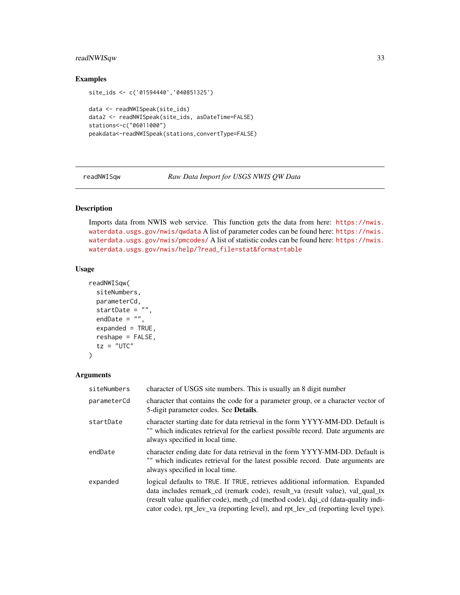### <span id="page-32-0"></span>readNWISqw 33

### Examples

```
site_ids <- c('01594440','040851325')
data <- readNWISpeak(site_ids)
data2 <- readNWISpeak(site_ids, asDateTime=FALSE)
stations<-c("06011000")
peakdata<-readNWISpeak(stations,convertType=FALSE)
```
<span id="page-32-1"></span>readNWISqw *Raw Data Import for USGS NWIS QW Data*

### Description

Imports data from NWIS web service. This function gets the data from here: [https://nwis.](https://nwis.waterdata.usgs.gov/nwis/qwdata) [waterdata.usgs.gov/nwis/qwdata](https://nwis.waterdata.usgs.gov/nwis/qwdata) A list of parameter codes can be found here: [https://nwis.](https://nwis.waterdata.usgs.gov/nwis/pmcodes/) [waterdata.usgs.gov/nwis/pmcodes/](https://nwis.waterdata.usgs.gov/nwis/pmcodes/) A list of statistic codes can be found here: [https://nwis.](https://nwis.waterdata.usgs.gov/nwis/help/?read_file=stat&format=table) [waterdata.usgs.gov/nwis/help/?read\\_file=stat&format=table](https://nwis.waterdata.usgs.gov/nwis/help/?read_file=stat&format=table)

### Usage

```
readNWISqw(
 siteNumbers,
 parameterCd,
 startDate = "",
 endDate = ",
 expanded = TRUE,reshape = FALSE,tz = "UTC")
```
#### Arguments

| siteNumbers | character of USGS site numbers. This is usually an 8 digit number                                                                                                                                                                                                                                                                        |
|-------------|------------------------------------------------------------------------------------------------------------------------------------------------------------------------------------------------------------------------------------------------------------------------------------------------------------------------------------------|
| parameterCd | character that contains the code for a parameter group, or a character vector of<br>5-digit parameter codes. See <b>Details</b> .                                                                                                                                                                                                        |
| startDate   | character starting date for data retrieval in the form YYYY-MM-DD. Default is<br>"" which indicates retrieval for the earliest possible record. Date arguments are<br>always specified in local time.                                                                                                                                    |
| endDate     | character ending date for data retrieval in the form YYYY-MM-DD. Default is<br>"" which indicates retrieval for the latest possible record. Date arguments are<br>always specified in local time.                                                                                                                                        |
| expanded    | logical defaults to TRUE. If TRUE, retrieves additional information. Expanded<br>data includes remark cd (remark code), result value waller value), val qual tx<br>(result value qualifier code), meth_cd (method code), dqi_cd (data-quality indi-<br>cator code), rpt_lev_va (reporting level), and rpt_lev_cd (reporting level type). |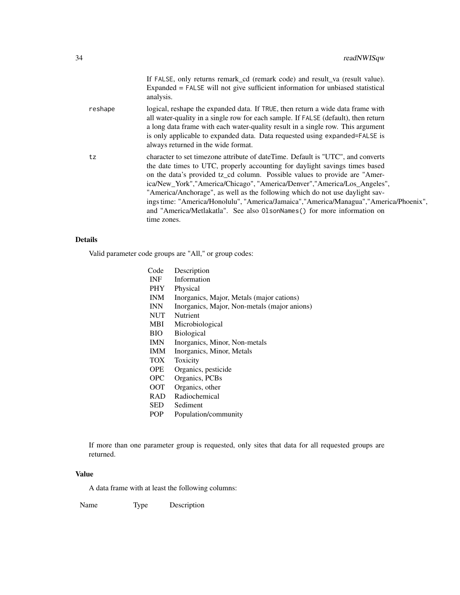|         | If FALSE, only returns remark_cd (remark code) and result_va (result value).<br>Expanded = FALSE will not give sufficient information for unbiased statistical<br>analysis.                                                                                                                                                                                                                                                                                                                                                                                                                     |
|---------|-------------------------------------------------------------------------------------------------------------------------------------------------------------------------------------------------------------------------------------------------------------------------------------------------------------------------------------------------------------------------------------------------------------------------------------------------------------------------------------------------------------------------------------------------------------------------------------------------|
| reshape | logical, reshape the expanded data. If TRUE, then return a wide data frame with<br>all water-quality in a single row for each sample. If FALSE (default), then return<br>a long data frame with each water-quality result in a single row. This argument<br>is only applicable to expanded data. Data requested using expanded=FALSE is<br>always returned in the wide format.                                                                                                                                                                                                                  |
| tz      | character to set timezone attribute of dateTime. Default is "UTC", and converts<br>the date times to UTC, properly accounting for daylight savings times based<br>on the data's provided tz_cd column. Possible values to provide are "Amer-<br>ica/New_York","America/Chicago", "America/Denver","America/Los_Angeles",<br>"America/Anchorage", as well as the following which do not use daylight sav-<br>ings time: "America/Honolulu", "America/Jamaica", "America/Managua", "America/Phoenix",<br>and "America/Metlakatla". See also 01 sonNames () for more information on<br>time zones. |

### Details

Valid parameter code groups are "All," or group codes:

| Code       | Description                                  |
|------------|----------------------------------------------|
| <b>INF</b> | Information                                  |
| <b>PHY</b> | Physical                                     |
| <b>INM</b> | Inorganics, Major, Metals (major cations)    |
| <b>INN</b> | Inorganics, Major, Non-metals (major anions) |
| <b>NUT</b> | Nutrient                                     |
| MBI        | Microbiological                              |
| BIO        | <b>Biological</b>                            |
| <b>IMN</b> | Inorganics, Minor, Non-metals                |
| <b>IMM</b> | Inorganics, Minor, Metals                    |
| <b>TOX</b> | Toxicity                                     |
| OPE.       | Organics, pesticide                          |
| <b>OPC</b> | Organics, PCBs                               |
| <b>OOT</b> | Organics, other                              |
| <b>RAD</b> | Radiochemical                                |
| <b>SED</b> | Sediment                                     |
| POP        | Population/community                         |

If more than one parameter group is requested, only sites that data for all requested groups are returned.

#### Value

A data frame with at least the following columns:

Name Type Description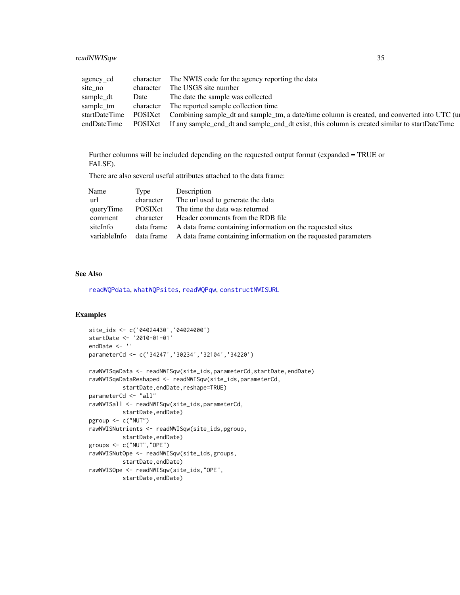<span id="page-34-0"></span>readNWISqw 35

| agency_cd     |           | character The NWIS code for the agency reporting the data                                     |
|---------------|-----------|-----------------------------------------------------------------------------------------------|
| site_no       | character | The USGS site number                                                                          |
| sample_dt     | Date      | The date the sample was collected                                                             |
| sample_tm     | character | The reported sample collection time                                                           |
| startDateTime | POSIXct   | Combining sample_dt and sample_tm, a date/time column is created, and converted into UTC (up  |
| endDateTime   | POSIXct   | If any sample_end_dt and sample_end_dt exist, this column is created similar to startDateTime |

Further columns will be included depending on the requested output format (expanded = TRUE or FALSE).

There are also several useful attributes attached to the data frame:

| Name         | Type            | Description                                                                |
|--------------|-----------------|----------------------------------------------------------------------------|
| url          | character       | The url used to generate the data                                          |
| queryTime    | <b>POSIX</b> ct | The time the data was returned                                             |
| comment      | character       | Header comments from the RDB file                                          |
| siteInfo     |                 | data frame A data frame containing information on the requested sites      |
| variableInfo |                 | data frame A data frame containing information on the requested parameters |

#### See Also

[readWQPdata](#page-43-1), [whatWQPsites](#page-56-1), [readWQPqw](#page-46-1), [constructNWISURL](#page-3-1)

```
site_ids <- c('04024430','04024000')
startDate <- '2010-01-01'
endDate <- ''
parameterCd <- c('34247','30234','32104','34220')
rawNWISqwData <- readNWISqw(site_ids,parameterCd,startDate,endDate)
rawNWISqwDataReshaped <- readNWISqw(site_ids,parameterCd,
         startDate, endDate, reshape=TRUE)
parameterCd <- "all"
rawNWISall <- readNWISqw(site_ids,parameterCd,
         startDate,endDate)
pgroup <- c("NUT")
rawNWISNutrients <- readNWISqw(site_ids,pgroup,
         startDate,endDate)
groups <- c("NUT","OPE")
rawNWISNutOpe <- readNWISqw(site_ids,groups,
         startDate,endDate)
rawNWISOpe <- readNWISqw(site_ids,"OPE",
         startDate,endDate)
```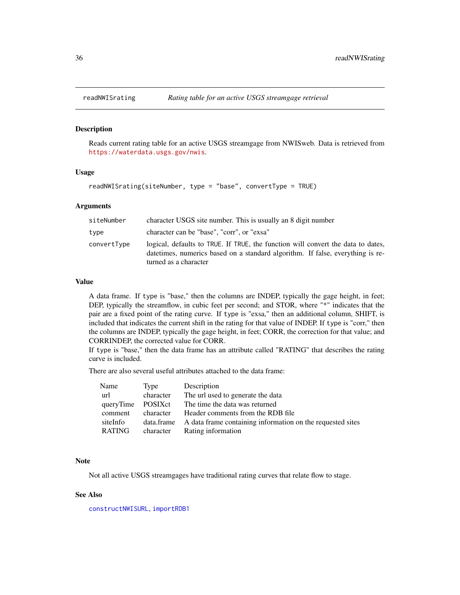<span id="page-35-0"></span>

#### Description

Reads current rating table for an active USGS streamgage from NWISweb. Data is retrieved from <https://waterdata.usgs.gov/nwis>.

#### Usage

readNWISrating(siteNumber, type = "base", convertType = TRUE)

#### Arguments

| siteNumber  | character USGS site number. This is usually an 8 digit number                                                                                                                                |
|-------------|----------------------------------------------------------------------------------------------------------------------------------------------------------------------------------------------|
| type        | character can be "base", "corr", or "exsa"                                                                                                                                                   |
| convertType | logical, defaults to TRUE. If TRUE, the function will convert the data to dates,<br>date times, numerics based on a standard algorithm. If false, everything is re-<br>turned as a character |

#### Value

A data frame. If type is "base," then the columns are INDEP, typically the gage height, in feet; DEP, typically the streamflow, in cubic feet per second; and STOR, where "\*" indicates that the pair are a fixed point of the rating curve. If type is "exsa," then an additional column, SHIFT, is included that indicates the current shift in the rating for that value of INDEP. If type is "corr," then the columns are INDEP, typically the gage height, in feet; CORR, the correction for that value; and CORRINDEP, the corrected value for CORR.

If type is "base," then the data frame has an attribute called "RATING" that describes the rating curve is included.

There are also several useful attributes attached to the data frame:

| Name              | Type      | Description                                                           |
|-------------------|-----------|-----------------------------------------------------------------------|
| url               | character | The url used to generate the data                                     |
| queryTime POSIXct |           | The time the data was returned                                        |
| comment           | character | Header comments from the RDB file                                     |
| siteInfo          |           | data.frame A data frame containing information on the requested sites |
| <b>RATING</b>     | character | Rating information                                                    |

#### Note

Not all active USGS streamgages have traditional rating curves that relate flow to stage.

#### See Also

[constructNWISURL](#page-3-1), [importRDB1](#page-11-1)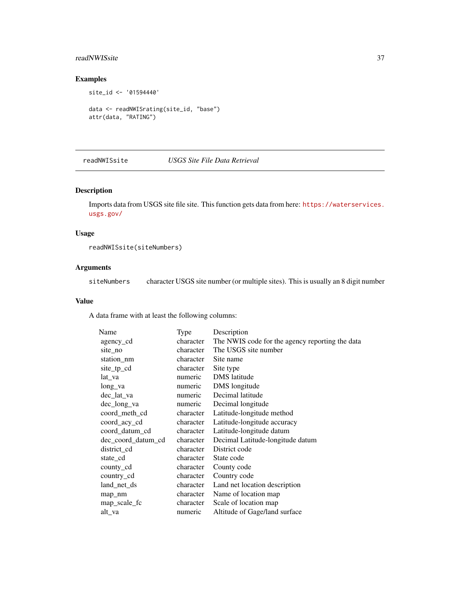### <span id="page-36-0"></span>readNWISsite 37

### Examples

```
site_id <- '01594440'
data <- readNWISrating(site_id, "base")
attr(data, "RATING")
```
readNWISsite *USGS Site File Data Retrieval*

#### Description

Imports data from USGS site file site. This function gets data from here: [https://waterservices.](https://waterservices.usgs.gov/) [usgs.gov/](https://waterservices.usgs.gov/)

#### Usage

readNWISsite(siteNumbers)

#### Arguments

siteNumbers character USGS site number (or multiple sites). This is usually an 8 digit number

#### Value

A data frame with at least the following columns:

| Name               | Type      | Description                                     |
|--------------------|-----------|-------------------------------------------------|
| agency_cd          | character | The NWIS code for the agency reporting the data |
| site no            | character | The USGS site number                            |
| station_nm         | character | Site name                                       |
| site_tp_cd         | character | Site type                                       |
| lat va             | numeric   | <b>DMS</b> latitude                             |
| long_va            | numeric   | DMS longitude                                   |
| dec_lat_va         | numeric   | Decimal latitude                                |
| dec_long_va        | numeric   | Decimal longitude                               |
| coord_meth_cd      | character | Latitude-longitude method                       |
| coord_acy_cd       | character | Latitude-longitude accuracy                     |
| coord_datum_cd     | character | Latitude-longitude datum                        |
| dec_coord_datum_cd | character | Decimal Latitude-longitude datum                |
| district_cd        | character | District code                                   |
| state_cd           | character | State code                                      |
| county_cd          | character | County code                                     |
| country_cd         | character | Country code                                    |
| land_net_ds        | character | Land net location description                   |
| map_nm             | character | Name of location map                            |
| map_scale_fc       | character | Scale of location map                           |
| alt_va             | numeric   | Altitude of Gage/land surface                   |
|                    |           |                                                 |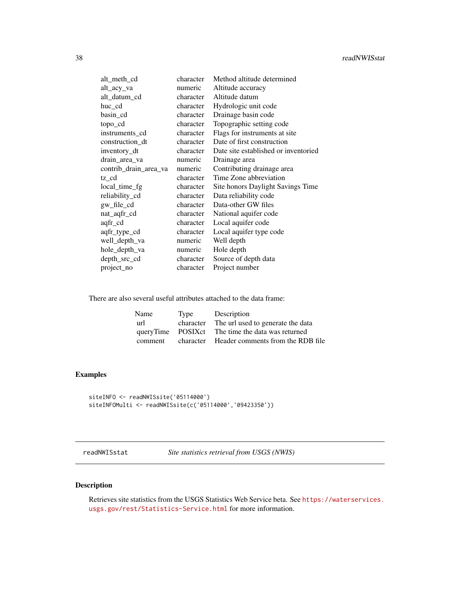<span id="page-37-0"></span>

| alt_meth_cd           | character | Method altitude determined           |
|-----------------------|-----------|--------------------------------------|
| alt_acy_va            | numeric   | Altitude accuracy                    |
| alt_datum_cd          | character | Altitude datum                       |
| huc_cd                | character | Hydrologic unit code                 |
| basin_cd              | character | Drainage basin code                  |
| topo_cd               | character | Topographic setting code             |
| instruments_cd        | character | Flags for instruments at site        |
| construction_dt       | character | Date of first construction           |
| inventory_dt          | character | Date site established or inventoried |
| drain_area_va         | numeric   | Drainage area                        |
| contrib_drain_area_va | numeric   | Contributing drainage area           |
| tz cd                 | character | Time Zone abbreviation               |
| local_time_fg         | character | Site honors Daylight Savings Time    |
| reliability_cd        | character | Data reliability code                |
| gw_file_cd            | character | Data-other GW files                  |
| nat_aqfr_cd           | character | National aquifer code                |
| aqfr_cd               | character | Local aquifer code                   |
| aqfr_type_cd          | character | Local aquifer type code              |
| well_depth_va         | numeric   | Well depth                           |
| hole_depth_va         | numeric   | Hole depth                           |
| depth_src_cd          | character | Source of depth data                 |
| project_no            | character | Project number                       |

There are also several useful attributes attached to the data frame:

| Name    | Type      | Description                                       |
|---------|-----------|---------------------------------------------------|
| url     | character | The url used to generate the data                 |
|         |           | queryTime POSIX ct The time the data was returned |
| comment | character | Header comments from the RDB file                 |

### Examples

```
siteINFO <- readNWISsite('05114000')
siteINFOMulti <- readNWISsite(c('05114000','09423350'))
```
readNWISstat *Site statistics retrieval from USGS (NWIS)*

### Description

Retrieves site statistics from the USGS Statistics Web Service beta. See [https://waterservices.](https://waterservices.usgs.gov/rest/Statistics-Service.html) [usgs.gov/rest/Statistics-Service.html](https://waterservices.usgs.gov/rest/Statistics-Service.html) for more information.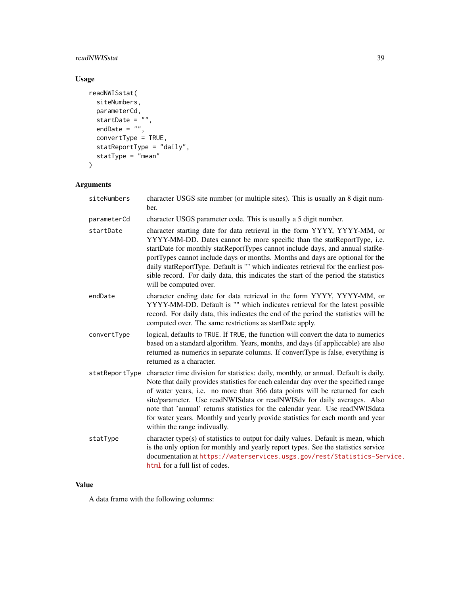### readNWISstat 39

### Usage

```
readNWISstat(
  siteNumbers,
  parameterCd,
  startDate = \frac{1}{n},
  endDate = ",
  convertType = TRUE,
  statReportType = "daily",
  statType = "mean"
\mathcal{L}
```
## Arguments

| siteNumbers    | character USGS site number (or multiple sites). This is usually an 8 digit num-<br>ber.                                                                                                                                                                                                                                                                                                                                                                                                                                                 |
|----------------|-----------------------------------------------------------------------------------------------------------------------------------------------------------------------------------------------------------------------------------------------------------------------------------------------------------------------------------------------------------------------------------------------------------------------------------------------------------------------------------------------------------------------------------------|
| parameterCd    | character USGS parameter code. This is usually a 5 digit number.                                                                                                                                                                                                                                                                                                                                                                                                                                                                        |
| startDate      | character starting date for data retrieval in the form YYYY, YYYY-MM, or<br>YYYY-MM-DD. Dates cannot be more specific than the statReportType, i.e.<br>startDate for monthly statReportTypes cannot include days, and annual statRe-<br>portTypes cannot include days or months. Months and days are optional for the<br>daily statReportType. Default is "" which indicates retrieval for the earliest pos-<br>sible record. For daily data, this indicates the start of the period the statistics<br>will be computed over.           |
| endDate        | character ending date for data retrieval in the form YYYY, YYYY-MM, or<br>YYYY-MM-DD. Default is "" which indicates retrieval for the latest possible<br>record. For daily data, this indicates the end of the period the statistics will be<br>computed over. The same restrictions as startDate apply.                                                                                                                                                                                                                                |
| convertType    | logical, defaults to TRUE. If TRUE, the function will convert the data to numerics<br>based on a standard algorithm. Years, months, and days (if appliccable) are also<br>returned as numerics in separate columns. If convertType is false, everything is<br>returned as a character.                                                                                                                                                                                                                                                  |
| statReportType | character time division for statistics: daily, monthly, or annual. Default is daily.<br>Note that daily provides statistics for each calendar day over the specified range<br>of water years, i.e. no more than 366 data points will be returned for each<br>site/parameter. Use readNWISdata or readNWISdv for daily averages. Also<br>note that 'annual' returns statistics for the calendar year. Use readNWISdata<br>for water years. Monthly and yearly provide statistics for each month and year<br>within the range indivually. |
| statType       | character type(s) of statistics to output for daily values. Default is mean, which<br>is the only option for monthly and yearly report types. See the statistics service<br>documentation at https://waterservices.usgs.gov/rest/Statistics-Service.<br>html for a full list of codes.                                                                                                                                                                                                                                                  |

### Value

A data frame with the following columns: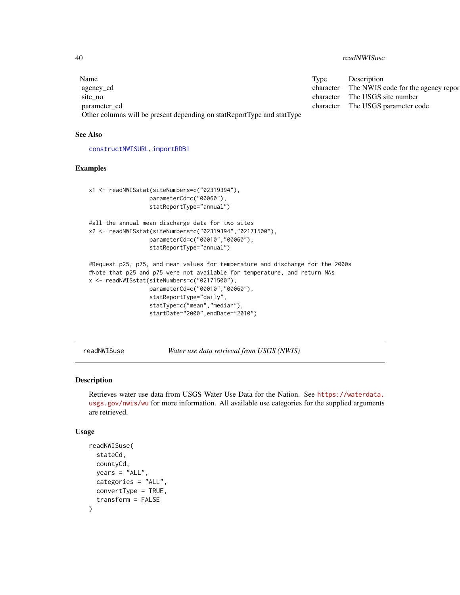<span id="page-39-0"></span>40 readNWISuse

| Name                                                                   | Type      | Description                        |
|------------------------------------------------------------------------|-----------|------------------------------------|
| agency_cd                                                              | character | The NWIS code for the agency repor |
| site no                                                                | character | The USGS site number               |
| parameter cd                                                           | character | The USGS parameter code            |
| Other columns will be present depending on statReportType and statType |           |                                    |

#### See Also

[constructNWISURL](#page-3-1), [importRDB1](#page-11-1)

#### Examples

```
x1 <- readNWISstat(siteNumbers=c("02319394"),
                  parameterCd=c("00060"),
                  statReportType="annual")
#all the annual mean discharge data for two sites
x2 <- readNWISstat(siteNumbers=c("02319394","02171500"),
                  parameterCd=c("00010","00060"),
                  statReportType="annual")
#Request p25, p75, and mean values for temperature and discharge for the 2000s
#Note that p25 and p75 were not available for temperature, and return NAs
x <- readNWISstat(siteNumbers=c("02171500"),
                  parameterCd=c("00010","00060"),
                  statReportType="daily",
                  statType=c("mean","median"),
                  startDate="2000",endDate="2010")
```
readNWISuse *Water use data retrieval from USGS (NWIS)*

#### Description

Retrieves water use data from USGS Water Use Data for the Nation. See [https://waterdata.](https://waterdata.usgs.gov/nwis/wu) [usgs.gov/nwis/wu](https://waterdata.usgs.gov/nwis/wu) for more information. All available use categories for the supplied arguments are retrieved.

#### Usage

```
readNWISuse(
  stateCd,
  countyCd,
 years = "ALL",categories = "ALL",
  convertType = TRUE,
  transform = FALSE
)
```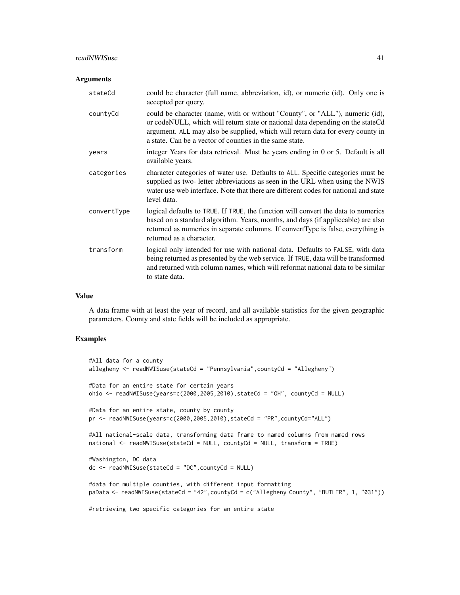#### readNWISuse 41

#### **Arguments**

| could be character (full name, abbreviation, id), or numeric (id). Only one is<br>accepted per query.                                                                                                                                                                                                       |
|-------------------------------------------------------------------------------------------------------------------------------------------------------------------------------------------------------------------------------------------------------------------------------------------------------------|
| could be character (name, with or without "County", or "ALL"), numeric (id),<br>or codeNULL, which will return state or national data depending on the stateCd<br>argument. ALL may also be supplied, which will return data for every county in<br>a state. Can be a vector of counties in the same state. |
| integer Years for data retrieval. Must be years ending in 0 or 5. Default is all<br>available years.                                                                                                                                                                                                        |
| character categories of water use. Defaults to ALL. Specific categories must be<br>supplied as two- letter abbreviations as seen in the URL when using the NWIS<br>water use web interface. Note that there are different codes for national and state<br>level data.                                       |
| logical defaults to TRUE. If TRUE, the function will convert the data to numerics<br>based on a standard algorithm. Years, months, and days (if applicable) are also<br>returned as numerics in separate columns. If convertType is false, everything is<br>returned as a character.                        |
| logical only intended for use with national data. Defaults to FALSE, with data<br>being returned as presented by the web service. If TRUE, data will be transformed<br>and returned with column names, which will reformat national data to be similar<br>to state data.                                    |
|                                                                                                                                                                                                                                                                                                             |

#### Value

A data frame with at least the year of record, and all available statistics for the given geographic parameters. County and state fields will be included as appropriate.

```
#All data for a county
allegheny <- readNWISuse(stateCd = "Pennsylvania",countyCd = "Allegheny")
#Data for an entire state for certain years
ohio <- readNWISuse(years=c(2000,2005,2010),stateCd = "OH", countyCd = NULL)
#Data for an entire state, county by county
pr <- readNWISuse(years=c(2000,2005,2010),stateCd = "PR",countyCd="ALL")
#All national-scale data, transforming data frame to named columns from named rows
national <- readNWISuse(stateCd = NULL, countyCd = NULL, transform = TRUE)
#Washington, DC data
dc <- readNWISuse(stateCd = "DC",countyCd = NULL)
#data for multiple counties, with different input formatting
paData <- readNWISuse(stateCd = "42",countyCd = c("Allegheny County", "BUTLER", 1, "031"))
#retrieving two specific categories for an entire state
```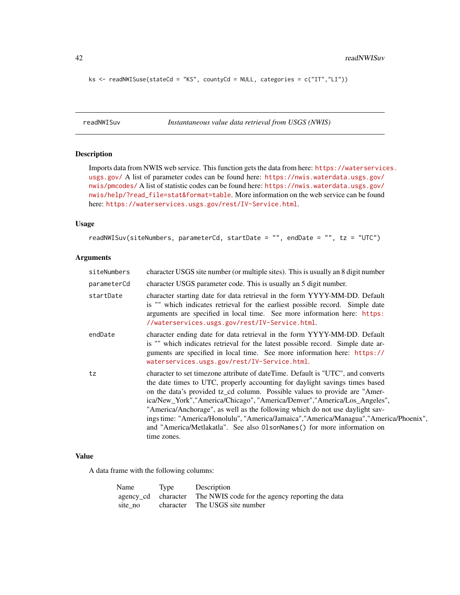```
ks <- readNWISuse(stateCd = "KS", countyCd = NULL, categories = c("IT","LI"))
```
<span id="page-41-1"></span>readNWISuv *Instantaneous value data retrieval from USGS (NWIS)*

### Description

Imports data from NWIS web service. This function gets the data from here: [https://waterservic](https://waterservices.usgs.gov/)es. [usgs.gov/](https://waterservices.usgs.gov/) A list of parameter codes can be found here: [https://nwis.waterdata.usgs.gov/](https://nwis.waterdata.usgs.gov/nwis/pmcodes/) [nwis/pmcodes/](https://nwis.waterdata.usgs.gov/nwis/pmcodes/) A list of statistic codes can be found here: [https://nwis.waterdata.usgs.gov/](https://nwis.waterdata.usgs.gov/nwis/help/?read_file=stat&format=table) [nwis/help/?read\\_file=stat&format=table](https://nwis.waterdata.usgs.gov/nwis/help/?read_file=stat&format=table). More information on the web service can be found here: <https://waterservices.usgs.gov/rest/IV-Service.html>.

### Usage

```
readNWISuv(siteNumbers, parameterCd, startDate = "", endDate = "", tz = "UTC")
```
#### Arguments

| siteNumbers | character USGS site number (or multiple sites). This is usually an 8 digit number                                                                                                                                                                                                                                                                                                                                                                                                                                                                                                              |
|-------------|------------------------------------------------------------------------------------------------------------------------------------------------------------------------------------------------------------------------------------------------------------------------------------------------------------------------------------------------------------------------------------------------------------------------------------------------------------------------------------------------------------------------------------------------------------------------------------------------|
| parameterCd | character USGS parameter code. This is usually an 5 digit number.                                                                                                                                                                                                                                                                                                                                                                                                                                                                                                                              |
| startDate   | character starting date for data retrieval in the form YYYY-MM-DD. Default<br>is "" which indicates retrieval for the earliest possible record. Simple date<br>arguments are specified in local time. See more information here: https:<br>//waterservices.usgs.gov/rest/IV-Service.html.                                                                                                                                                                                                                                                                                                      |
| endDate     | character ending date for data retrieval in the form YYYY-MM-DD. Default<br>is "" which indicates retrieval for the latest possible record. Simple date ar-<br>guments are specified in local time. See more information here: https://<br>waterservices.usgs.gov/rest/IV-Service.html.                                                                                                                                                                                                                                                                                                        |
| tz          | character to set timezone attribute of dateTime. Default is "UTC", and converts<br>the date times to UTC, properly accounting for daylight savings times based<br>on the data's provided tz_cd column. Possible values to provide are "Amer-<br>ica/New_York","America/Chicago", "America/Denver","America/Los_Angeles",<br>"America/Anchorage", as well as the following which do not use daylight sav-<br>ings time: "America/Honolulu", "America/Jamaica", "America/Managua", "America/Phoenix",<br>and "America/Metlakatla". See also 01 sonNames() for more information on<br>time zones. |

#### Value

A data frame with the following columns:

| Name    | Type | Description                                                         |
|---------|------|---------------------------------------------------------------------|
|         |      | agency_cd character The NWIS code for the agency reporting the data |
| site no |      | character The USGS site number                                      |

<span id="page-41-0"></span>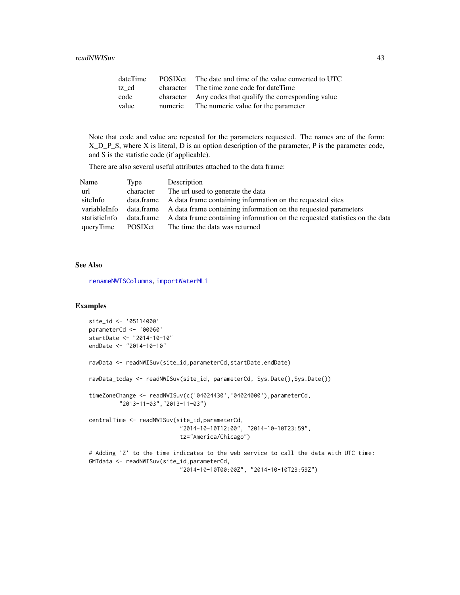<span id="page-42-0"></span>

| dateTime | POSIXct | The date and time of the value converted to UTC          |
|----------|---------|----------------------------------------------------------|
| tz cd    |         | character The time zone code for dateTime                |
| code     |         | character Any codes that qualify the corresponding value |
| value    | numeric | The numeric value for the parameter                      |

Note that code and value are repeated for the parameters requested. The names are of the form: X\_D\_P\_S, where X is literal, D is an option description of the parameter, P is the parameter code, and S is the statistic code (if applicable).

There are also several useful attributes attached to the data frame:

| Name          | Type      | Description                                                                            |
|---------------|-----------|----------------------------------------------------------------------------------------|
| url           | character | The url used to generate the data                                                      |
| siteInfo      |           | data.frame A data frame containing information on the requested sites                  |
| variableInfo  |           | data.frame A data frame containing information on the requested parameters             |
| statisticInfo |           | data.frame A data frame containing information on the requested statistics on the data |
| queryTime     | POSIXct   | The time the data was returned                                                         |

#### See Also

[renameNWISColumns](#page-49-1), [importWaterML1](#page-12-1)

```
site_id <- '05114000'
parameterCd <- '00060'
startDate <- "2014-10-10"
endDate <- "2014-10-10"
rawData <- readNWISuv(site_id,parameterCd,startDate,endDate)
rawData_today <- readNWISuv(site_id, parameterCd, Sys.Date(),Sys.Date())
timeZoneChange <- readNWISuv(c('04024430','04024000'),parameterCd,
         "2013-11-03","2013-11-03")
centralTime <- readNWISuv(site_id,parameterCd,
                           "2014-10-10T12:00", "2014-10-10T23:59",
                           tz="America/Chicago")
# Adding 'Z' to the time indicates to the web service to call the data with UTC time:
GMTdata <- readNWISuv(site_id,parameterCd,
                           "2014-10-10T00:00Z", "2014-10-10T23:59Z")
```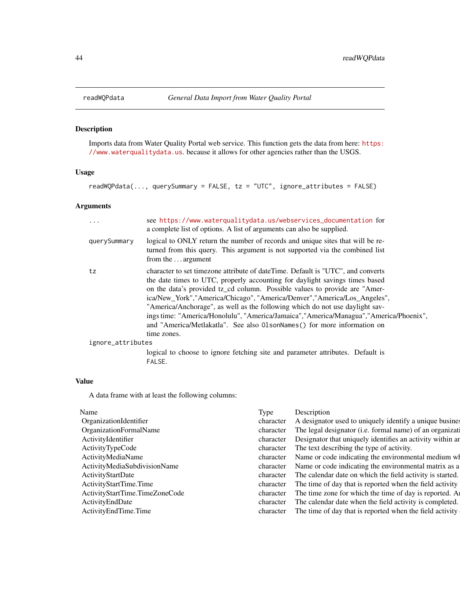<span id="page-43-1"></span><span id="page-43-0"></span>

### Description

Imports data from Water Quality Portal web service. This function gets the data from here: [https:](https://www.waterqualitydata.us) [//www.waterqualitydata.us](https://www.waterqualitydata.us). because it allows for other agencies rather than the USGS.

#### Usage

readWQPdata(..., querySummary = FALSE, tz = "UTC", ignore\_attributes = FALSE)

### Arguments

| .                 | see https://www.waterqualitydata.us/webservices_documentation for<br>a complete list of options. A list of arguments can also be supplied.                                                                                                                                                                                                                                                                                                                                                                                                                                                    |
|-------------------|-----------------------------------------------------------------------------------------------------------------------------------------------------------------------------------------------------------------------------------------------------------------------------------------------------------------------------------------------------------------------------------------------------------------------------------------------------------------------------------------------------------------------------------------------------------------------------------------------|
| querySummary      | logical to ONLY return the number of records and unique sites that will be re-<br>turned from this query. This argument is not supported via the combined list<br>from the  argument                                                                                                                                                                                                                                                                                                                                                                                                          |
| tz                | character to set timezone attribute of dateTime. Default is "UTC", and converts<br>the date times to UTC, properly accounting for daylight savings times based<br>on the data's provided tz_cd column. Possible values to provide are "Amer-<br>ica/New_York","America/Chicago", "America/Denver","America/Los_Angeles",<br>"America/Anchorage", as well as the following which do not use daylight sav-<br>ings time: "America/Honolulu", "America/Jamaica", "America/Managua", "America/Phoenix",<br>and "America/Metlakatla". See also 01sonNames() for more information on<br>time zones. |
| ignore_attributes |                                                                                                                                                                                                                                                                                                                                                                                                                                                                                                                                                                                               |
|                   | logical to choose to ignore fetching site and parameter attributes. Default is<br>FALSE.                                                                                                                                                                                                                                                                                                                                                                                                                                                                                                      |

#### Value

A data frame with at least the following columns:

| Name                           | Type      | Description                                                |
|--------------------------------|-----------|------------------------------------------------------------|
| OrganizationIdentifier         | character | A designator used to uniquely identify a unique busines    |
| OrganizationFormalName         | character | The legal designator (i.e. formal name) of an organizati   |
| ActivityIdentifier             | character | Designator that uniquely identifies an activity within are |
| ActivityTypeCode               | character | The text describing the type of activity.                  |
| ActivityMediaName              | character | Name or code indicating the environmental medium wl        |
| ActivityMediaSubdivisionName   | character | Name or code indicating the environmental matrix as a      |
| ActivityStartDate              | character | The calendar date on which the field activity is started.  |
| ActivityStartTime.Time         | character | The time of day that is reported when the field activity   |
| ActivityStartTime.TimeZoneCode | character | The time zone for which the time of day is reported. A     |
| ActivityEndDate                | character | The calendar date when the field activity is completed.    |
| Activity EndTime. Time         | character | The time of day that is reported when the field activity   |
|                                |           |                                                            |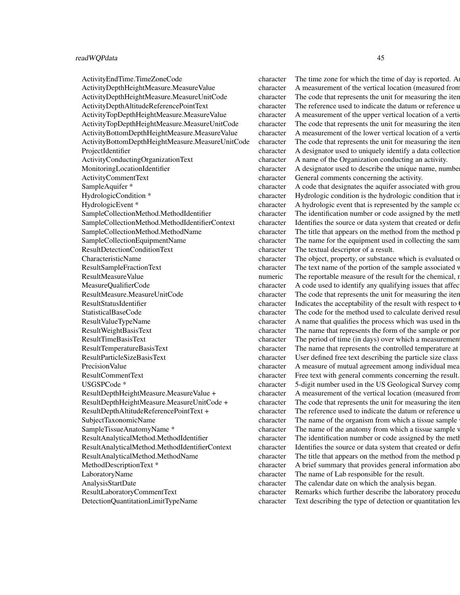#### readWQPdata 45

ActivityCommentText character General comments concerning the activity. ResultDetectionConditionText character The textual descriptor of a result. LaboratoryName character The name of Lab responsible for the result. AnalysisStartDate character The calendar date on which the analysis began.

ActivityEndTime.TimeZoneCode character The time zone for which the time of day is reported. A ActivityDepthHeightMeasure.MeasureValue character A measurement of the vertical location (measured from ActivityDepthHeightMeasure.MeasureUnitCode character The code that represents the unit for measuring the item. ActivityDepthAltitudeReferencePointText character The reference used to indicate the datum or reference used to ActivityTopDepthHeightMeasure.MeasureValue character A measurement of the upper vertical location of a verti-ActivityTopDepthHeightMeasure.MeasureUnitCode character The code that represents the unit for measuring the iten. ActivityBottomDepthHeightMeasure.MeasureValue character A measurement of the lower vertical location of a verti ActivityBottomDepthHeightMeasure.MeasureUnitCode character The code that represents the unit for measuring the item. ProjectIdentifier character A designator used to uniquely identify a data collection projectIdentifier ActivityConductingOrganizationText character A name of the Organization conducting an activity. MonitoringLocationIdentifier character A designator used to describe the unique name, number, the monocleanism character A designator used to describe the unique name, number SampleAquifer \* entertainment character A code that designates the aquifer associated with groundwater samples. HydrologicCondition \* character Hydrologic condition is the hydrologic condition that is HydrologicEvent \* character A hydrologic event that is represented by the sample collected (i.e. - storm, drought, snowmelt). SampleCollectionMethod.MethodIdentifier character The identification number or code assigned by the method publisher. SampleCollectionMethod.MethodIdentifierContext character Identifies the source or data system that created or defined the identifier. SampleCollectionMethod.MethodName character The title that appears on the method from the method publisher. SampleCollectionEquipmentName character The name for the equipment used in collecting the sam CharacteristicName character The object, property, or substance which is evaluated or enumerated measurement, a direct field observation, a direct field observation, or substance which is evaluated or by laboratory analysi ResultSampleFractionText character The text name of the portion of the sample associated v ResultMeasureValue numeric The reportable measure of the result for the chemical, microbiological or other characteristic being analyzed. Measure value is given in the units stored in ResultMeasure. MeasureQualifierCode character A code used to identify any qualifying issues that affect the results. ResultMeasure.MeasureUnitCode character The code that represents the unit for measuring the item. ResultStatusIdentifier character Indicates the acceptability of the result with respect to Q StatisticalBaseCode character The code for the method used to calculate derived results. ResultValueTypeName character A name that qualifies the process which was used in the result value TypeName ResultWeightBasisText character The name that represents the form of the sample or portion of the sample or por ResultTimeBasisText character The period of time (in days) over which a measurement was made. For example, BOD. ResultTemperatureBasisText character The name that represents the controlled temperature at  $\Gamma$ ResultParticleSizeBasisText character User defined free text describing the particle size class PrecisionValue character A measure of mutual agreement among individual mea ResultCommentText character Free text with general comments concerning the result. USGSPCode \* character 5-digit number used in the US Geological Survey computerized data system (NWIS), to uniquely information System (NWIS), to uniquely identify a specific constraint. The US Geological Survey computerize ResultDepthHeightMeasure.MeasureValue + character A measurement of the vertical location (measured from a reference point) and reference points. ResultDepthHeightMeasure.MeasureUnitCode + character The code that represents the unit for measuring the item. ResultDepthAltitudeReferencePointText + character The reference used to indicate the datum or reference used to SubjectTaxonomicName character The name of the organism from which a tissue sample SampleTissueAnatomyName \* character The name of the anatomy from which a tissue sample v ResultAnalyticalMethod.MethodIdentifier character The identification number or code assigned by the method publisher. ResultAnalyticalMethod.MethodIdentifierContext character Identifies the source or data system that created or defined the identifier. ResultAnalyticalMethod.MethodName character The title that appears on the method from the method publisher. MethodDescriptionText \* character A brief summary that provides general information about the method. ResultLaboratoryCommentText character Remarks which further describe the laboratory procedures which produced the result. DetectionQuantitationLimitTypeName character Text describing the type of detection or quantitation level used in the analysis of a characteristic.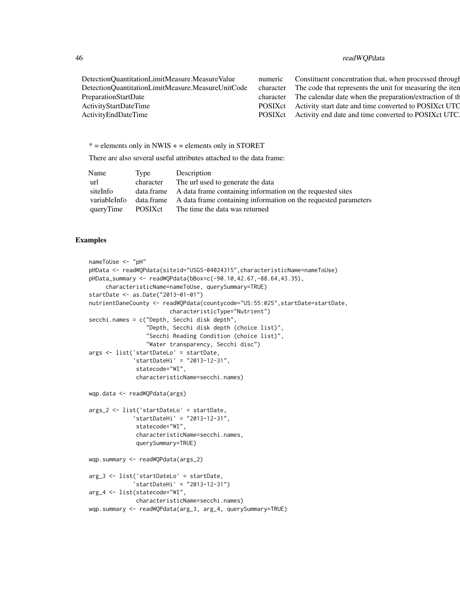### 46 readWQPdata

| DetectionQuantitationLimitMeasure.MeasureValue    | numeric Constituent concentration that, when processed through     |
|---------------------------------------------------|--------------------------------------------------------------------|
| DetectionQuantitationLimitMeasure.MeasureUnitCode | character The code that represents the unit for measuring the iten |
| PreparationStartDate                              | character The calendar date when the preparation/extraction of the |
| <b>ActivityStartDateTime</b>                      | POSIX ct Activity start date and time converted to POSIX ct UTC    |
| ActivityEndDateTime                               | POSIX ct Activity end date and time converted to POSIX ct UTC.     |
|                                                   |                                                                    |

 $* =$  elements only in NWIS  $+ =$  elements only in STORET

There are also several useful attributes attached to the data frame:

| Name         | Type      | Description                                                                |
|--------------|-----------|----------------------------------------------------------------------------|
| url          | character | The url used to generate the data                                          |
| siteInfo     |           | data frame A data frame containing information on the requested sites      |
| variableInfo |           | data frame A data frame containing information on the requested parameters |
| queryTime    | POSIXct   | The time the data was returned                                             |

```
nameToUse <- "pH"
pHData <- readWQPdata(siteid="USGS-04024315",characteristicName=nameToUse)
pHData_summary <- readWQPdata(bBox=c(-90.10,42.67,-88.64,43.35),
     characteristicName=nameToUse, querySummary=TRUE)
startDate <- as.Date("2013-01-01")
nutrientDaneCounty <- readWQPdata(countycode="US:55:025",startDate=startDate,
                       characteristicType="Nutrient")
secchi.names = c("Depth, Secchi disk depth",
                 "Depth, Secchi disk depth (choice list)",
                 "Secchi Reading Condition (choice list)",
                 "Water transparency, Secchi disc")
args <- list('startDateLo' = startDate,
             'startDateHi' = "2013-12-31",
              statecode="WI",
             characteristicName=secchi.names)
wqp.data <- readWQPdata(args)
args_2 <- list('startDateLo' = startDate,
             'startDateHi' = "2013-12-31",
             statecode="WI",
             characteristicName=secchi.names,
             querySummary=TRUE)
wqp.summary <- readWQPdata(args_2)
arg_3 <- list('startDateLo' = startDate,
             'startDateHi' = "2013-12-31")
arg_4 <- list(statecode="WI",
             characteristicName=secchi.names)
wqp.summary <- readWQPdata(arg_3, arg_4, querySummary=TRUE)
```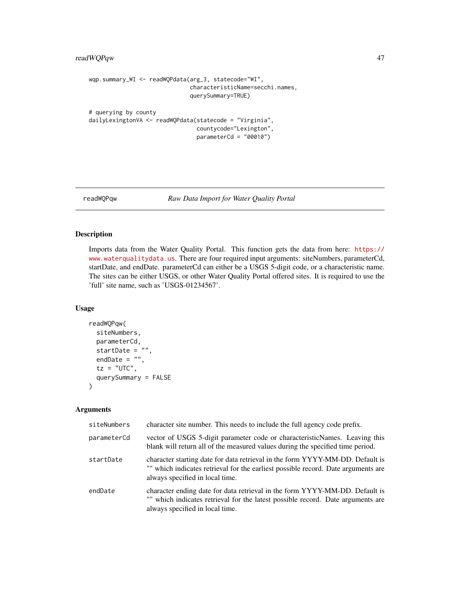```
wqp.summary_WI <- readWQPdata(arg_3, statecode="WI",
                              characteristicName=secchi.names,
                              querySummary=TRUE)
# querying by county
dailyLexingtonVA <- readWQPdata(statecode = "Virginia",
                                countycode="Lexington",
                                parameterCd = "00010")
```
<span id="page-46-1"></span>readWQPqw *Raw Data Import for Water Quality Portal*

#### Description

Imports data from the Water Quality Portal. This function gets the data from here: [https://](https://www.waterqualitydata.us) [www.waterqualitydata.us](https://www.waterqualitydata.us). There are four required input arguments: siteNumbers, parameterCd, startDate, and endDate. parameterCd can either be a USGS 5-digit code, or a characteristic name. The sites can be either USGS, or other Water Quality Portal offered sites. It is required to use the 'full' site name, such as 'USGS-01234567'.

### Usage

```
readWQPqw(
  siteNumbers,
  parameterCd,
  startDate = ",
  endDate = ",
  tz = "UTC",querySummary = FALSE
)
```
### Arguments

| siteNumbers | character site number. This needs to include the full agency code prefix.                                                                                                                             |
|-------------|-------------------------------------------------------------------------------------------------------------------------------------------------------------------------------------------------------|
| parameterCd | vector of USGS 5-digit parameter code or characteristicNames. Leaving this<br>blank will return all of the measured values during the specified time period.                                          |
| startDate   | character starting date for data retrieval in the form YYYY-MM-DD. Default is<br>"" which indicates retrieval for the earliest possible record. Date arguments are<br>always specified in local time. |
| endDate     | character ending date for data retrieval in the form YYYY-MM-DD. Default is<br>"" which indicates retrieval for the latest possible record. Date arguments are<br>always specified in local time.     |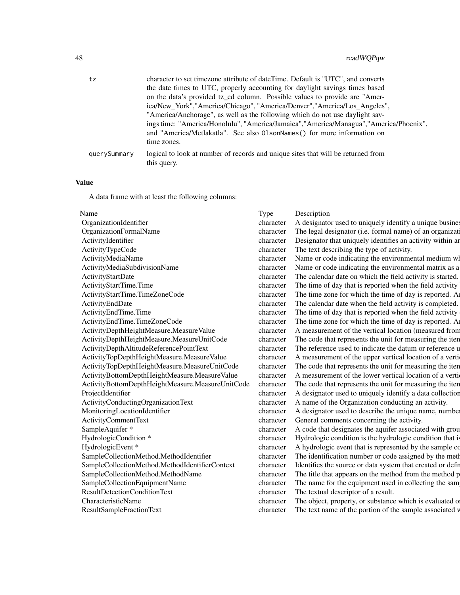| tz           | character to set timezone attribute of dateTime. Default is "UTC", and converts                 |
|--------------|-------------------------------------------------------------------------------------------------|
|              | the date times to UTC, properly accounting for daylight savings times based                     |
|              | on the data's provided tz_cd column. Possible values to provide are "Amer-                      |
|              | ica/New_York","America/Chicago", "America/Denver","America/Los_Angeles",                        |
|              | "America/Anchorage", as well as the following which do not use daylight sav-                    |
|              | ings time: "America/Honolulu", "America/Jamaica", "America/Managua", "America/Phoenix",         |
|              | and "America/Metlakatla". See also 01 sonNames () for more information on                       |
|              | time zones.                                                                                     |
| querySummary | logical to look at number of records and unique sites that will be returned from<br>this query. |

#### Value

A data frame with at least the following columns:

| OrganizationIdentifier                           | character | A designator used to uniquely identify a unique busine     |
|--------------------------------------------------|-----------|------------------------------------------------------------|
| OrganizationFormalName                           | character | The legal designator (i.e. formal name) of an organizat    |
| ActivityIdentifier                               | character | Designator that uniquely identifies an activity within an  |
| ActivityTypeCode                                 | character | The text describing the type of activity.                  |
| ActivityMediaName                                | character | Name or code indicating the environmental medium w         |
| ActivityMediaSubdivisionName                     | character | Name or code indicating the environmental matrix as a      |
| <b>ActivityStartDate</b>                         | character | The calendar date on which the field activity is started.  |
| ActivityStartTime.Time                           | character | The time of day that is reported when the field activity   |
| ActivityStartTime.TimeZoneCode                   | character | The time zone for which the time of day is reported. A     |
| ActivityEndDate                                  | character | The calendar date when the field activity is completed.    |
| ActivityEndTime.Time                             | character | The time of day that is reported when the field activity   |
| ActivityEndTime.TimeZoneCode                     | character | The time zone for which the time of day is reported. A     |
| ActivityDepthHeightMeasure.MeasureValue          | character | A measurement of the vertical location (measured fron      |
| ActivityDepthHeightMeasure.MeasureUnitCode       | character | The code that represents the unit for measuring the iter   |
| ActivityDepthAltitudeReferencePointText          | character | The reference used to indicate the datum or reference u    |
| ActivityTopDepthHeightMeasure.MeasureValue       | character | A measurement of the upper vertical location of a verti    |
| ActivityTopDepthHeightMeasure.MeasureUnitCode    | character | The code that represents the unit for measuring the iter   |
| ActivityBottomDepthHeightMeasure.MeasureValue    | character | A measurement of the lower vertical location of a verti    |
| ActivityBottomDepthHeightMeasure.MeasureUnitCode | character | The code that represents the unit for measuring the iter   |
| ProjectIdentifier                                | character | A designator used to uniquely identify a data collection   |
| ActivityConductingOrganizationText               | character | A name of the Organization conducting an activity.         |
| MonitoringLocationIdentifier                     | character | A designator used to describe the unique name, numbe       |
| <b>ActivityCommentText</b>                       | character | General comments concerning the activity.                  |
| SampleAquifer *                                  | character | A code that designates the aquifer associated with grou    |
| HydrologicCondition *                            | character | Hydrologic condition is the hydrologic condition that i    |
| HydrologicEvent*                                 | character | A hydrologic event that is represented by the sample co    |
| SampleCollectionMethod.MethodIdentifier          | character | The identification number or code assigned by the met      |
| SampleCollectionMethod.MethodIdentifierContext   | character | Identifies the source or data system that created or defi- |
| SampleCollectionMethod.MethodName                | character | The title that appears on the method from the method p     |
| SampleCollectionEquipmentName                    | character | The name for the equipment used in collecting the sam      |
| ResultDetectionConditionText                     | character | The textual descriptor of a result.                        |
| CharacteristicName                               | character | The object, property, or substance which is evaluated o    |
| <b>ResultSampleFractionText</b>                  | character | The text name of the portion of the sample associated v    |

#### Type Description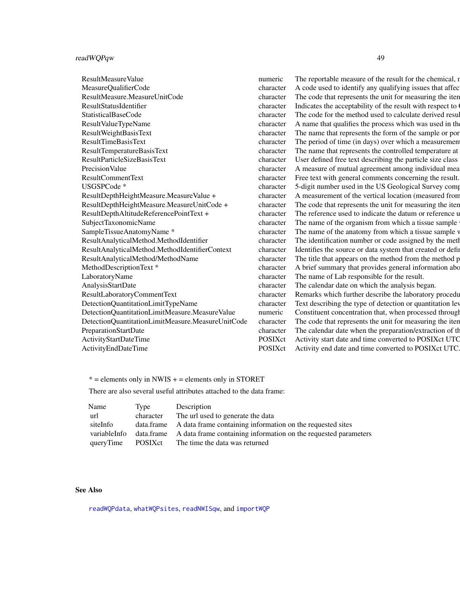<span id="page-48-0"></span>

| ResultMeasureValue                                | numeric   | The reportable measure of the result for the chemical, r   |
|---------------------------------------------------|-----------|------------------------------------------------------------|
| MeasureQualifierCode                              | character | code used to identify any qualifying issues that affec     |
| ResultMeasure.MeasureUnitCode                     | character | The code that represents the unit for measuring the iten   |
| ResultStatusIdentifier                            | character | Indicates the acceptability of the result with respect to  |
| <b>StatisticalBaseCode</b>                        | character | The code for the method used to calculate derived resul    |
| ResultValueTypeName                               | character | name that qualifies the process which was used in the      |
| <b>ResultWeightBasisText</b>                      | character | The name that represents the form of the sample or por     |
| ResultTimeBasisText                               | character | The period of time (in days) over which a measurement      |
| ResultTemperatureBasisText                        | character | The name that represents the controlled temperature at     |
| ResultParticleSizeBasisText                       | character | User defined free text describing the particle size class  |
| <b>PrecisionValue</b>                             | character | measure of mutual agreement among individual mea           |
| ResultCommentText                                 | character | Free text with general comments concerning the result.     |
| USGSPCode*                                        | character | 5-digit number used in the US Geological Survey comp       |
| ResultDepthHeightMeasure.MeasureValue +           | character | measurement of the vertical location (measured from        |
| ResultDepthHeightMeasure.MeasureUnitCode +        | character | The code that represents the unit for measuring the iten   |
| ResultDepthAltitudeReferencePointText+            | character | The reference used to indicate the datum or reference u    |
| SubjectTaxonomicName                              | character | The name of the organism from which a tissue sample        |
| SampleTissueAnatomyName *                         | character | The name of the anatomy from which a tissue sample v       |
| ResultAnalyticalMethod.MethodIdentifier           | character | The identification number or code assigned by the meth     |
| ResultAnalyticalMethod.MethodIdentifierContext    | character | Identifies the source or data system that created or defin |
| ResultAnalyticalMethod/MethodName                 | character | The title that appears on the method from the method p     |
| MethodDescriptionText*                            | character | If orief summary that provides general information abo     |
| LaboratoryName                                    | character | The name of Lab responsible for the result.                |
| AnalysisStartDate                                 | character | The calendar date on which the analysis began.             |
| ResultLaboratoryCommentText                       | character | Remarks which further describe the laboratory procedu      |
| DetectionQuantitationLimitTypeName                | character | Text describing the type of detection or quantitation lev  |
| DetectionQuantitationLimitMeasure.MeasureValue    | numeric   | Constituent concentration that, when processed through     |
| DetectionQuantitationLimitMeasure.MeasureUnitCode | character | The code that represents the unit for measuring the iten   |
| PreparationStartDate                              | character | The calendar date when the preparation/extraction of the   |
| <b>ActivityStartDateTime</b>                      | POSIXct   | Activity start date and time converted to POSIXct UTC      |
| ActivityEndDateTime                               | POSIXct   | Activity end date and time converted to POSIXct UTC.       |
|                                                   |           |                                                            |

\* = elements only in NWIS + = elements only in STORET

There are also several useful attributes attached to the data frame:

| Name         | Type            | Description                                                                |
|--------------|-----------------|----------------------------------------------------------------------------|
| url          | character       | The url used to generate the data                                          |
| siteInfo     |                 | data.frame A data frame containing information on the requested sites      |
| variableInfo |                 | data frame A data frame containing information on the requested parameters |
| queryTime    | <b>POSIX</b> ct | The time the data was returned                                             |

### See Also

[readWQPdata](#page-43-1), [whatWQPsites](#page-56-1), [readNWISqw](#page-32-1), and [importWQP](#page-16-1)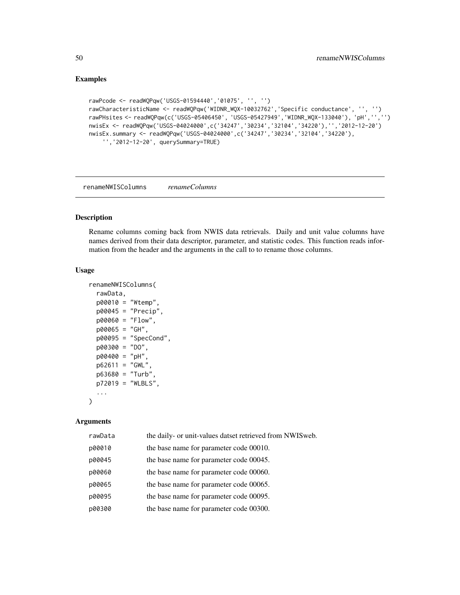### Examples

```
rawPcode <- readWQPqw('USGS-01594440','01075', '', '')
rawCharacteristicName <- readWQPqw('WIDNR_WQX-10032762','Specific conductance', '', '')
rawPHsites <- readWQPqw(c('USGS-05406450', 'USGS-05427949','WIDNR_WQX-133040'), 'pH','','')
nwisEx <- readWQPqw('USGS-04024000',c('34247','30234','32104','34220'),'','2012-12-20')
nwisEx.summary <- readWQPqw('USGS-04024000',c('34247','30234','32104','34220'),
    '','2012-12-20', querySummary=TRUE)
```
<span id="page-49-1"></span>renameNWISColumns *renameColumns*

#### Description

Rename columns coming back from NWIS data retrievals. Daily and unit value columns have names derived from their data descriptor, parameter, and statistic codes. This function reads information from the header and the arguments in the call to to rename those columns.

#### Usage

```
renameNWISColumns(
  rawData,
 p00010 = "Wtemp",
 p00045 = "Precip",
 p00060 = "Flow",
 p00065 = "GH",
 p00095 = "SpecCond",
 p00300 = "DO",
 p00400 = "pH",
 p62611 = "GWL",p63680 = "Turb",
 p72019 = "WLBLS",
  ...
)
```
### Arguments

| rawData | the daily- or unit-values datset retrieved from NWISweb. |
|---------|----------------------------------------------------------|
| p00010  | the base name for parameter code 00010.                  |
| p00045  | the base name for parameter code 00045.                  |
| p00060  | the base name for parameter code 00060.                  |
| p00065  | the base name for parameter code 00065.                  |
| p00095  | the base name for parameter code 00095.                  |
| p00300  | the base name for parameter code 00300.                  |

<span id="page-49-0"></span>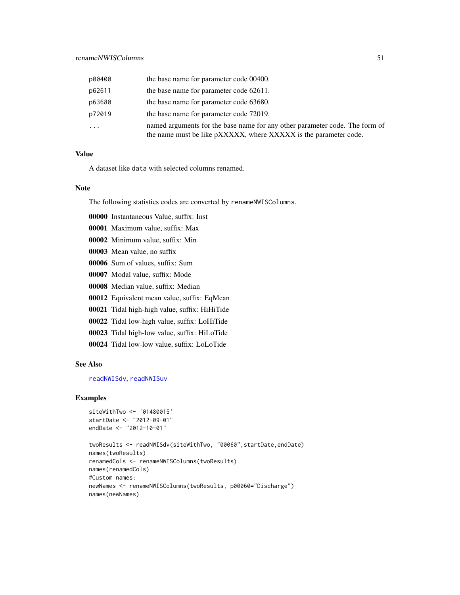<span id="page-50-0"></span>

| p00400   | the base name for parameter code 00400.                                                                                                         |
|----------|-------------------------------------------------------------------------------------------------------------------------------------------------|
| p62611   | the base name for parameter code 62611.                                                                                                         |
| p63680   | the base name for parameter code 63680.                                                                                                         |
| p72019   | the base name for parameter code 72019.                                                                                                         |
| $\ddots$ | named arguments for the base name for any other parameter code. The form of<br>the name must be like pXXXXX, where XXXXX is the parameter code. |

#### Value

A dataset like data with selected columns renamed.

### Note

The following statistics codes are converted by renameNWISColumns.

- 00000 Instantaneous Value, suffix: Inst
- 00001 Maximum value, suffix: Max
- 00002 Minimum value, suffix: Min
- 00003 Mean value, no suffix
- 00006 Sum of values, suffix: Sum
- 00007 Modal value, suffix: Mode
- 00008 Median value, suffix: Median
- 00012 Equivalent mean value, suffix: EqMean
- 00021 Tidal high-high value, suffix: HiHiTide
- 00022 Tidal low-high value, suffix: LoHiTide
- 00023 Tidal high-low value, suffix: HiLoTide
- 00024 Tidal low-low value, suffix: LoLoTide

#### See Also

[readNWISdv](#page-23-1), [readNWISuv](#page-41-1)

```
siteWithTwo <- '01480015'
startDate <- "2012-09-01"
endDate <- "2012-10-01"
```

```
twoResults <- readNWISdv(siteWithTwo, "00060",startDate,endDate)
names(twoResults)
renamedCols <- renameNWISColumns(twoResults)
names(renamedCols)
#Custom names:
newNames <- renameNWISColumns(twoResults, p00060="Discharge")
names(newNames)
```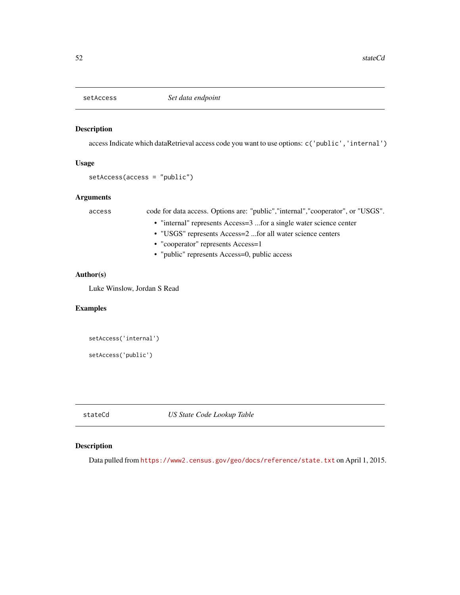<span id="page-51-0"></span>

### Description

access Indicate which dataRetrieval access code you want to use options: c('public','internal')

#### Usage

```
setAccess(access = "public")
```
### Arguments

access code for data access. Options are: "public","internal","cooperator", or "USGS".

- "internal" represents Access=3 ...for a single water science center
- "USGS" represents Access=2 ...for all water science centers
- "cooperator" represents Access=1
- "public" represents Access=0, public access

### Author(s)

Luke Winslow, Jordan S Read

### Examples

```
setAccess('internal')
setAccess('public')
```
stateCd *US State Code Lookup Table*

### Description

Data pulled from <https://www2.census.gov/geo/docs/reference/state.txt> on April 1, 2015.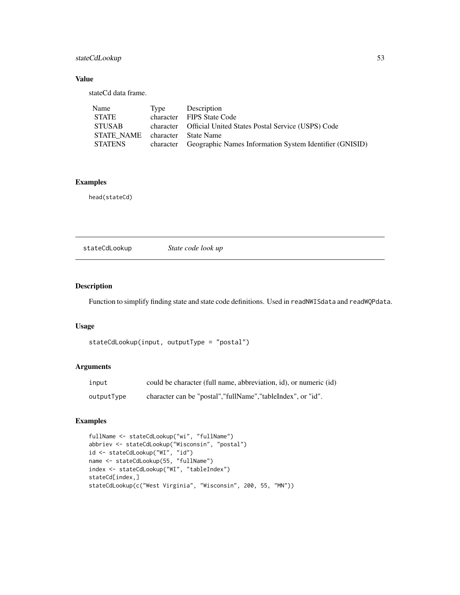### <span id="page-52-0"></span>stateCdLookup 53

### Value

stateCd data frame.

| Name                            | Type | Description                                                       |
|---------------------------------|------|-------------------------------------------------------------------|
| <b>STATE</b>                    |      | character FIPS State Code                                         |
| STUSAB                          |      | character Official United States Postal Service (USPS) Code       |
| STATE NAME character State Name |      |                                                                   |
| STATENS                         |      | character Geographic Names Information System Identifier (GNISID) |

### Examples

head(stateCd)

stateCdLookup *State code look up*

### Description

Function to simplify finding state and state code definitions. Used in readNWISdata and readWQPdata.

#### Usage

```
stateCdLookup(input, outputType = "postal")
```
#### Arguments

| input      | could be character (full name, abbreviation, id), or numeric (id) |
|------------|-------------------------------------------------------------------|
| outputType | character can be "postal", "fullName", "tableIndex", or "id".     |

```
fullName <- stateCdLookup("wi", "fullName")
abbriev <- stateCdLookup("Wisconsin", "postal")
id <- stateCdLookup("WI", "id")
name <- stateCdLookup(55, "fullName")
index <- stateCdLookup("WI", "tableIndex")
stateCd[index,]
stateCdLookup(c("West Virginia", "Wisconsin", 200, 55, "MN"))
```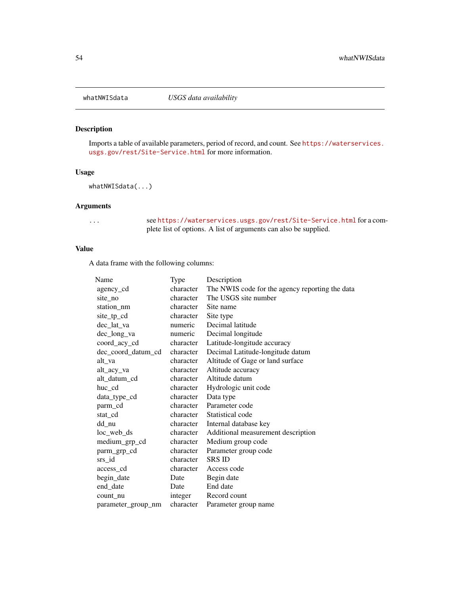<span id="page-53-0"></span>

### Description

Imports a table of available parameters, period of record, and count. See [https://waterservices.](https://waterservices.usgs.gov/rest/Site-Service.html) [usgs.gov/rest/Site-Service.html](https://waterservices.usgs.gov/rest/Site-Service.html) for more information.

#### Usage

whatNWISdata(...)

### Arguments

... see <https://waterservices.usgs.gov/rest/Site-Service.html> for a complete list of options. A list of arguments can also be supplied.

### Value

A data frame with the following columns:

| Name               | Type      | Description                                     |
|--------------------|-----------|-------------------------------------------------|
| agency_cd          | character | The NWIS code for the agency reporting the data |
| site_no            | character | The USGS site number                            |
| station_nm         | character | Site name                                       |
| site_tp_cd         | character | Site type                                       |
| dec_lat_va         | numeric   | Decimal latitude                                |
| dec_long_va        | numeric   | Decimal longitude                               |
| coord_acy_cd       | character | Latitude-longitude accuracy                     |
| dec_coord_datum_cd | character | Decimal Latitude-longitude datum                |
| alt_va             | character | Altitude of Gage or land surface                |
| alt_acy_va         | character | Altitude accuracy                               |
| alt_datum_cd       | character | Altitude datum                                  |
| huc_cd             | character | Hydrologic unit code                            |
| data_type_cd       | character | Data type                                       |
| parm_cd            | character | Parameter code                                  |
| stat_cd            | character | Statistical code                                |
| dd_nu              | character | Internal database key                           |
| $loc_web_ds$       | character | Additional measurement description              |
| medium_grp_cd      | character | Medium group code                               |
| parm_grp_cd        | character | Parameter group code                            |
| srs_id             | character | <b>SRS ID</b>                                   |
| access_cd          | character | Access code                                     |
| begin_date         | Date      | Begin date                                      |
| end_date           | Date      | End date                                        |
| count nu           | integer   | Record count                                    |
| parameter group nm | character | Parameter group name                            |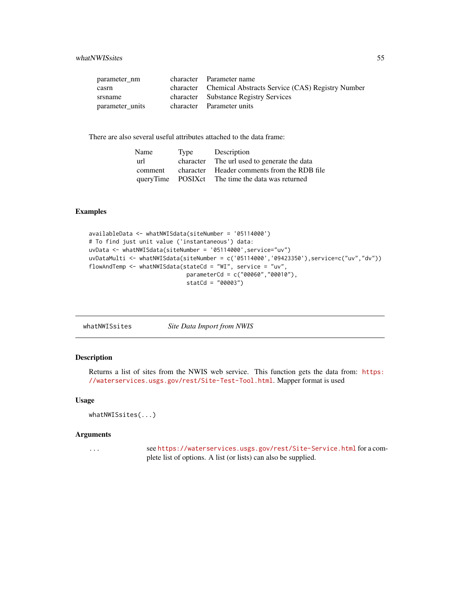<span id="page-54-0"></span>

| parameter nm    | character Parameter name                                   |
|-----------------|------------------------------------------------------------|
| casrn           | character Chemical Abstracts Service (CAS) Registry Number |
| srsname         | character Substance Registry Services                      |
| parameter units | character Parameter units                                  |

There are also several useful attributes attached to the data frame:

| Name    | Type | Description                                      |
|---------|------|--------------------------------------------------|
| url     |      | character The url used to generate the data      |
| comment |      | character Header comments from the RDB file      |
|         |      | queryTime POSIXct The time the data was returned |

### Examples

```
availableData <- whatNWISdata(siteNumber = '05114000')
# To find just unit value ('instantaneous') data:
uvData <- whatNWISdata(siteNumber = '05114000',service="uv")
uvDataMulti <- whatNWISdata(siteNumber = c('05114000','09423350'),service=c("uv","dv"))
flowAndTemp <- whatNWISdata(stateCd = "WI", service = "uv",
                             parameterCd = c("00060","00010"),
                             statCd = "00003")
```

| Site Data Import from NWIS |
|----------------------------|
|                            |

### Description

Returns a list of sites from the NWIS web service. This function gets the data from: [https:](https://waterservices.usgs.gov/rest/Site-Test-Tool.html) [//waterservices.usgs.gov/rest/Site-Test-Tool.html](https://waterservices.usgs.gov/rest/Site-Test-Tool.html). Mapper format is used

### Usage

```
whatNWISsites(...)
```
### Arguments

... see <https://waterservices.usgs.gov/rest/Site-Service.html> for a complete list of options. A list (or lists) can also be supplied.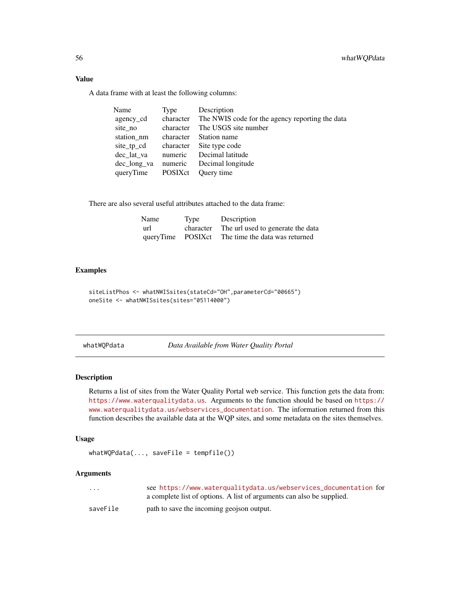### <span id="page-55-0"></span>Value

A data frame with at least the following columns:

| Name        | Type      | Description                                               |
|-------------|-----------|-----------------------------------------------------------|
| agency_cd   |           | character The NWIS code for the agency reporting the data |
| site_no     | character | The USGS site number                                      |
| station_nm  | character | Station name                                              |
| site_tp_cd  |           | character Site type code                                  |
| dec lat va  | numeric   | Decimal latitude                                          |
| dec_long_va | numeric   | Decimal longitude                                         |
| queryTime   | POSIXct   | Query time                                                |
|             |           |                                                           |

There are also several useful attributes attached to the data frame:

| Name              | Type      | Description                       |
|-------------------|-----------|-----------------------------------|
| url               | character | The url used to generate the data |
| queryTime POSIXct |           | The time the data was returned    |

### Examples

```
siteListPhos <- whatNWISsites(stateCd="OH",parameterCd="00665")
oneSite <- whatNWISsites(sites="05114000")
```
<span id="page-55-1"></span>whatWQPdata *Data Available from Water Quality Portal*

### Description

Returns a list of sites from the Water Quality Portal web service. This function gets the data from: <https://www.waterqualitydata.us>. Arguments to the function should be based on [https://](https://www.waterqualitydata.us/webservices_documentation) [www.waterqualitydata.us/webservices\\_documentation](https://www.waterqualitydata.us/webservices_documentation). The information returned from this function describes the available data at the WQP sites, and some metadata on the sites themselves.

### Usage

 $whatWQPdata(..., saveFile = tempfile())$ 

### Arguments

| .        | see https://www.waterqualitydata.us/webservices_documentation for     |
|----------|-----------------------------------------------------------------------|
|          | a complete list of options. A list of arguments can also be supplied. |
| saveFile | path to save the incoming geojson output.                             |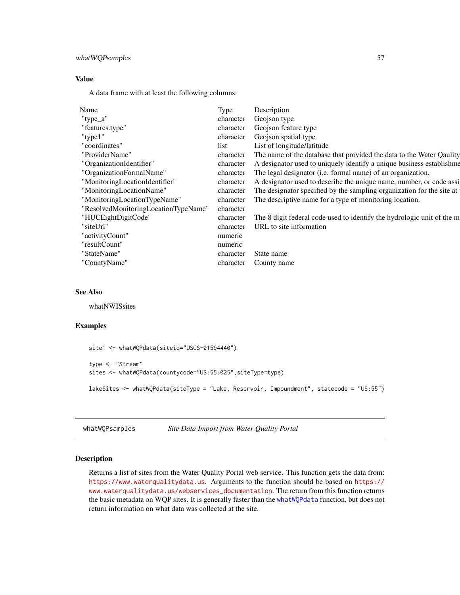### <span id="page-56-0"></span>whatWQPsamples 57

#### Value

A data frame with at least the following columns:

| Name                                 | Type      | Description                                                            |
|--------------------------------------|-----------|------------------------------------------------------------------------|
| "type_a"                             | character | Geojson type                                                           |
| "features.type"                      | character | Geojson feature type                                                   |
| " $type1"$                           | character | Geojson spatial type                                                   |
| "coordinates"                        | list      | List of longitude/latitude                                             |
| "ProviderName"                       | character | The name of the database that provided the data to the Water Qaulity   |
| "OrganizationIdentifier"             | character | A designator used to uniquely identify a unique business establishme   |
| "OrganizationFormalName"             | character | The legal designator (i.e. formal name) of an organization.            |
| "MonitoringLocationIdentifier"       | character | A designator used to describe the unique name, number, or code assi    |
| "MonitoringLocationName"             | character | The designator specified by the sampling organization for the site at  |
| "MonitoringLocationTypeName"         | character | The descriptive name for a type of monitoring location.                |
| "ResolvedMonitoringLocationTypeName" | character |                                                                        |
| "HUCEightDigitCode"                  | character | The 8 digit federal code used to identify the hydrologic unit of the m |
| "siteUrl"                            | character | URL to site information                                                |
| "activityCount"                      | numeric   |                                                                        |
| "resultCount"                        | numeric   |                                                                        |
| "StateName"                          | character | State name                                                             |
| "CountyName"                         | character | County name                                                            |

### See Also

whatNWISsites

### Examples

```
site1 <- whatWQPdata(siteid="USGS-01594440")
type <- "Stream"
sites <- whatWQPdata(countycode="US:55:025",siteType=type)
lakeSites <- whatWQPdata(siteType = "Lake, Reservoir, Impoundment", statecode = "US:55")
```
whatWQPsamples *Site Data Import from Water Quality Portal*

### <span id="page-56-1"></span>Description

Returns a list of sites from the Water Quality Portal web service. This function gets the data from: <https://www.waterqualitydata.us>. Arguments to the function should be based on [https://](https://www.waterqualitydata.us/webservices_documentation) [www.waterqualitydata.us/webservices\\_documentation](https://www.waterqualitydata.us/webservices_documentation). The return from this function returns the basic metadata on WQP sites. It is generally faster than the [whatWQPdata](#page-55-1) function, but does not return information on what data was collected at the site.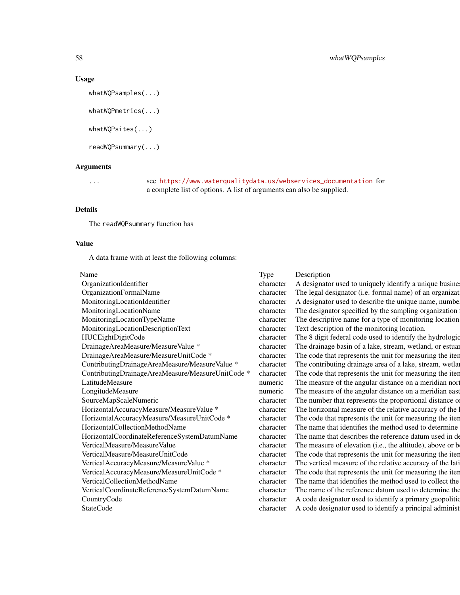### Usage

```
whatWQPsamples(...)
whatWQPmetrics(...)
whatWQPsites(...)
readWQPsummary(...)
```
### Arguments

... see [https://www.waterqualitydata.us/webservices\\_documentation](https://www.waterqualitydata.us/webservices_documentation) for a complete list of options. A list of arguments can also be supplied.

### Details

The readWQPsummary function has

### Value

A data frame with at least the following columns:

|--|--|

| Name                                                         | Type      | Description                                               |
|--------------------------------------------------------------|-----------|-----------------------------------------------------------|
| OrganizationIdentifier                                       | character | A designator used to uniquely identify a unique busine:   |
| OrganizationFormalName                                       | character | The legal designator (i.e. formal name) of an organizat   |
| MonitoringLocationIdentifier                                 | character | designator used to describe the unique name, number       |
| MonitoringLocationName                                       | character | The designator specified by the sampling organization     |
| MonitoringLocationTypeName                                   | character | The descriptive name for a type of monitoring location    |
| MonitoringLocationDescriptionText                            | character | Text description of the monitoring location.              |
| HUCEightDigitCode                                            | character | The 8 digit federal code used to identify the hydrologic  |
| DrainageAreaMeasure/MeasureValue *                           | character | The drainage basin of a lake, stream, wetland, or estuar  |
| DrainageAreaMeasure/MeasureUnitCode *                        | character | The code that represents the unit for measuring the iten  |
| ContributingDrainageAreaMeasure/MeasureValue *               | character | The contributing drainage area of a lake, stream, wetlar  |
| ContributingDrainageAreaMeasure/MeasureUnitCode <sup>*</sup> | character | The code that represents the unit for measuring the iten  |
| LatitudeMeasure                                              | numeric   | The measure of the angular distance on a meridian nort    |
| LongitudeMeasure                                             | numeric   | The measure of the angular distance on a meridian east    |
| SourceMapScaleNumeric                                        | character | The number that represents the proportional distance of   |
| HorizontalAccuracyMeasure/MeasureValue *                     | character | The horizontal measure of the relative accuracy of the    |
| HorizontalAccuracyMeasure/MeasureUnitCode *                  | character | The code that represents the unit for measuring the iten  |
| HorizontalCollectionMethodName                               | character | The name that identifies the method used to determine     |
| HorizontalCoordinateReferenceSystemDatumName                 | character | The name that describes the reference datum used in de    |
| VerticalMeasure/MeasureValue                                 | character | The measure of elevation (i.e., the altitude), above or b |
| VerticalMeasure/MeasureUnitCode                              | character | The code that represents the unit for measuring the iten  |
| VerticalAccuracyMeasure/MeasureValue *                       | character | The vertical measure of the relative accuracy of the lati |
| VerticalAccuracyMeasure/MeasureUnitCode *                    | character | The code that represents the unit for measuring the iten  |
| VerticalCollectionMethodName                                 | character | The name that identifies the method used to collect the   |
| VerticalCoordinateReferenceSystemDatumName                   | character | The name of the reference datum used to determine the     |
| CountryCode                                                  | character | code designator used to identify a primary geopolitic     |
| <b>StateCode</b>                                             | character | A code designator used to identify a principal administ   |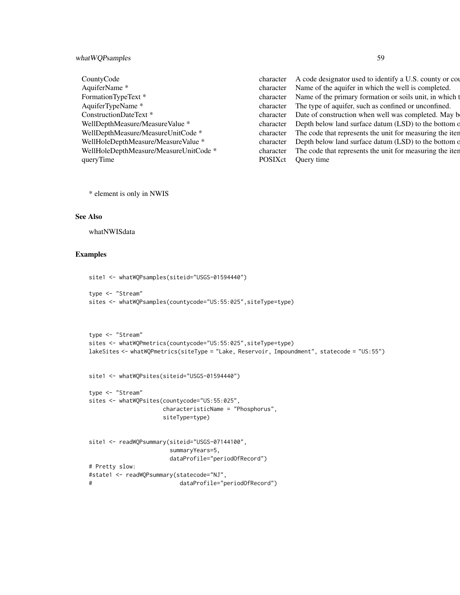### what WQPsamples 59

CountyCode character A code designator used to identify a U.S. county or county of county of county of county or county of county of county of county of county of county of county of county of county of county of county of AquiferName \* character Name of the aquifer in which the well is completed. FormationTypeText \* character Name of the primary formation or soils unit, in which the well is completed. AquiferTypeName \* character The type of aquifer, such as confined or unconfined. ConstructionDateText \* character Date of construction when well was completed. May be year only. WellDepthMeasure/MeasureValue \* character Depth below land surface datum (LSD) to the bottom of the units stored in the units stored in WellDepthMeasure/Measure value \* WellDepthMeasure/MeasureUnitCode \* character The code that represents the unit for measuring the iter. WellHoleDepthMeasure/MeasureValue \* character Depth below land surface datum (LSD) to the bottom of the units stored in the units stored in WellHoleDepthMeasure/MeasureValue \* WellHoleDepthMeasure/MeasureUnitCode \* character The code that represents the unit for measuring the item. queryTime POSIXct Query time

\* element is only in NWIS

#### See Also

whatNWISdata

```
site1 <- whatWQPsamples(siteid="USGS-01594440")
type <- "Stream"
sites <- whatWQPsamples(countycode="US:55:025",siteType=type)
type <- "Stream"
sites <- whatWQPmetrics(countycode="US:55:025",siteType=type)
lakeSites <- whatWQPmetrics(siteType = "Lake, Reservoir, Impoundment", statecode = "US:55")
site1 <- whatWQPsites(siteid="USGS-01594440")
type <- "Stream"
sites <- whatWQPsites(countycode="US:55:025",
                     characteristicName = "Phosphorus",
                     siteType=type)
site1 <- readWQPsummary(siteid="USGS-07144100",
                       summaryYears=5,
                       dataProfile="periodOfRecord")
# Pretty slow:
#state1 <- readWQPsummary(statecode="NJ",
# dataProfile="periodOfRecord")
```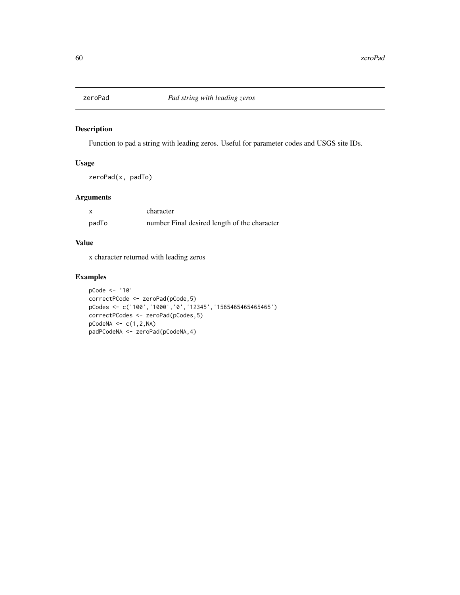<span id="page-59-0"></span>

### Description

Function to pad a string with leading zeros. Useful for parameter codes and USGS site IDs.

### Usage

zeroPad(x, padTo)

### Arguments

| $\boldsymbol{\mathsf{x}}$ | character                                    |
|---------------------------|----------------------------------------------|
| padTo                     | number Final desired length of the character |

#### Value

x character returned with leading zeros

```
pCode <- '10'
correctPCode <- zeroPad(pCode,5)
pCodes <- c('100','1000','0','12345','1565465465465465')
correctPCodes <- zeroPad(pCodes,5)
pCodeNA \leftarrow c(1,2,NA)padPCodeNA <- zeroPad(pCodeNA,4)
```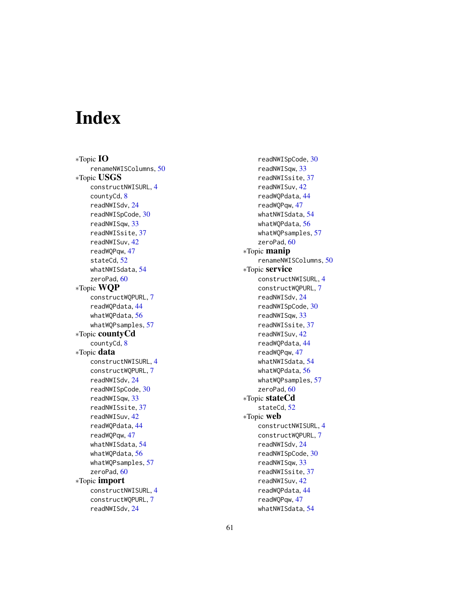# <span id="page-60-0"></span>Index

∗Topic IO renameNWISColumns, [50](#page-49-0) ∗Topic USGS constructNWISURL, [4](#page-3-0) countyCd, [8](#page-7-0) readNWISdv, [24](#page-23-0) readNWISpCode, [30](#page-29-0) readNWISqw, [33](#page-32-0) readNWISsite, [37](#page-36-0) readNWISuv, [42](#page-41-0) readWQPqw, [47](#page-46-0) stateCd, [52](#page-51-0) whatNWISdata, [54](#page-53-0) zeroPad, [60](#page-59-0) ∗Topic WQP constructWQPURL, [7](#page-6-0) readWQPdata, [44](#page-43-0) whatWOPdata, [56](#page-55-0) whatWQPsamples, [57](#page-56-0) ∗Topic countyCd countyCd, [8](#page-7-0) ∗Topic data constructNWISURL, [4](#page-3-0) constructWQPURL, [7](#page-6-0) readNWISdv, [24](#page-23-0) readNWISpCode, [30](#page-29-0) readNWISqw, [33](#page-32-0) readNWISsite, [37](#page-36-0) readNWISuv, [42](#page-41-0) readWQPdata, [44](#page-43-0) readWQPqw, [47](#page-46-0) whatNWISdata, [54](#page-53-0) whatWQPdata, [56](#page-55-0) whatWQPsamples, [57](#page-56-0) zeroPad, [60](#page-59-0) ∗Topic import constructNWISURL, [4](#page-3-0) constructWQPURL, [7](#page-6-0) readNWISdv, [24](#page-23-0)

readNWISpCode, [30](#page-29-0) readNWISqw, [33](#page-32-0) readNWISsite, [37](#page-36-0) readNWISuv, [42](#page-41-0) readWQPdata, [44](#page-43-0) readWQPqw, [47](#page-46-0) whatNWISdata, [54](#page-53-0) whatWQPdata, [56](#page-55-0) whatWQPsamples, [57](#page-56-0) zeroPad, [60](#page-59-0) ∗Topic manip renameNWISColumns, [50](#page-49-0) ∗Topic service constructNWISURL, [4](#page-3-0) constructWQPURL, [7](#page-6-0) readNWISdv, [24](#page-23-0) readNWISpCode, [30](#page-29-0) readNWISqw, [33](#page-32-0) readNWISsite, [37](#page-36-0) readNWISuv, [42](#page-41-0) readWQPdata, [44](#page-43-0) readWQPqw, [47](#page-46-0) whatNWISdata, [54](#page-53-0) whatWQPdata, [56](#page-55-0) whatWQPsamples, [57](#page-56-0) zeroPad, [60](#page-59-0) ∗Topic stateCd stateCd, [52](#page-51-0) ∗Topic web constructNWISURL, [4](#page-3-0) constructWQPURL, [7](#page-6-0) readNWISdv, [24](#page-23-0) readNWISpCode, [30](#page-29-0) readNWISqw, [33](#page-32-0) readNWISsite, [37](#page-36-0) readNWISuv, [42](#page-41-0) readWQPdata, [44](#page-43-0) readWQPqw, [47](#page-46-0) whatNWISdata, [54](#page-53-0)